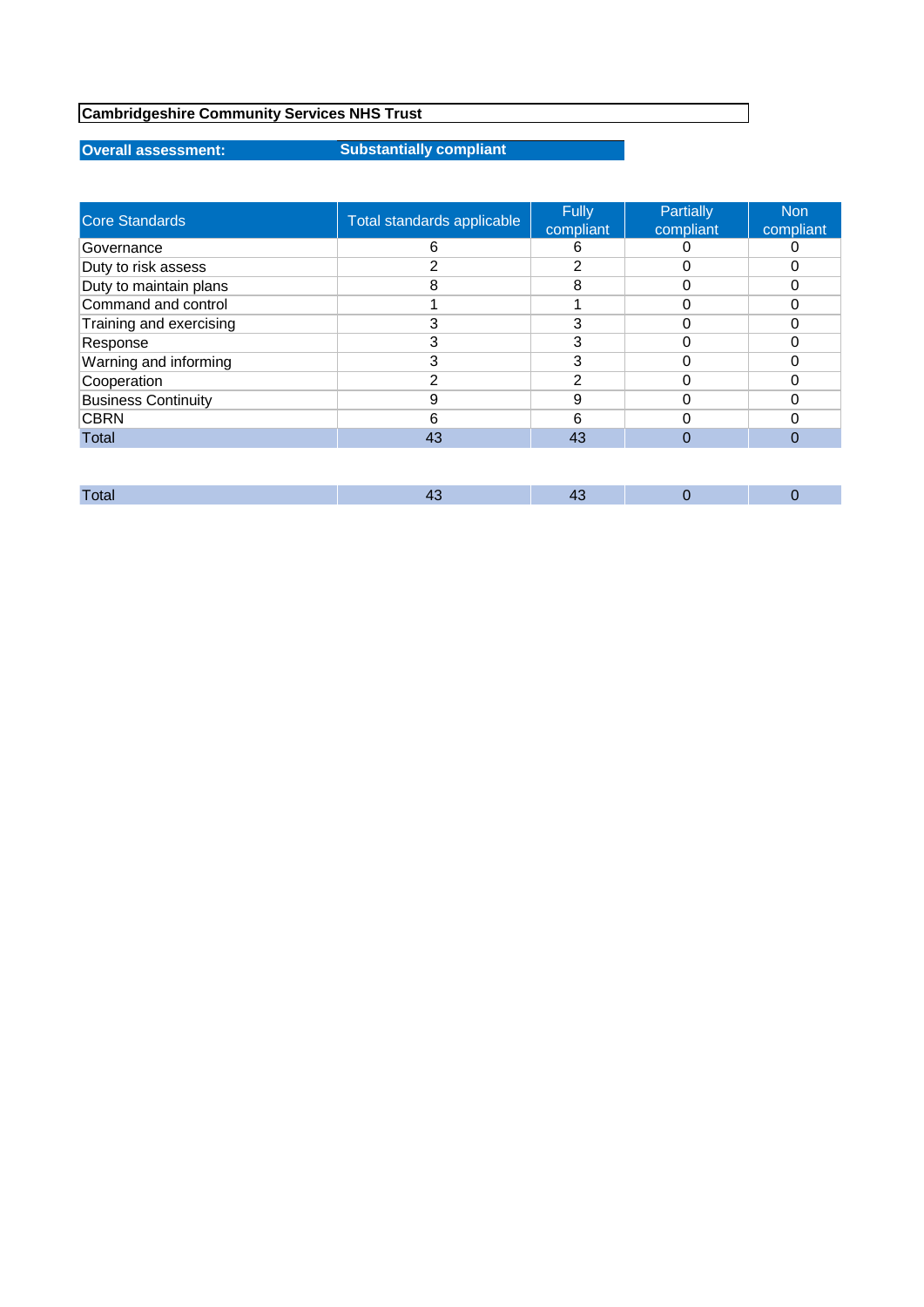## **Cambridgeshire Community Services NHS Trust**

## **Overall assessment:**

## **Substantially compliant**

| <b>Core Standards</b>      | Total standards applicable | <b>Fully</b><br>compliant | Partially<br>compliant | <b>Non</b><br>compliant |
|----------------------------|----------------------------|---------------------------|------------------------|-------------------------|
| Governance                 | 6                          | h                         |                        |                         |
| Duty to risk assess        | 2                          | 2                         | 0                      | 0                       |
| Duty to maintain plans     | 8                          | 8                         | 0                      | 0                       |
| Command and control        |                            |                           | 0                      |                         |
| Training and exercising    | 3                          | 3                         | 0                      | 0                       |
| Response                   | 3                          | 3                         | 0                      |                         |
| Warning and informing      | 3                          | 3                         | ი                      |                         |
| Cooperation                | 2                          | 2                         | 0                      | 0                       |
| <b>Business Continuity</b> | 9                          | 9                         | 0                      |                         |
| <b>CBRN</b>                | 6                          | 6                         | ი                      |                         |
| Total                      | 43                         | 43                        | $\Omega$               | 0                       |
|                            |                            |                           |                        |                         |
| Total                      | 43                         | 43                        | 0                      | 0                       |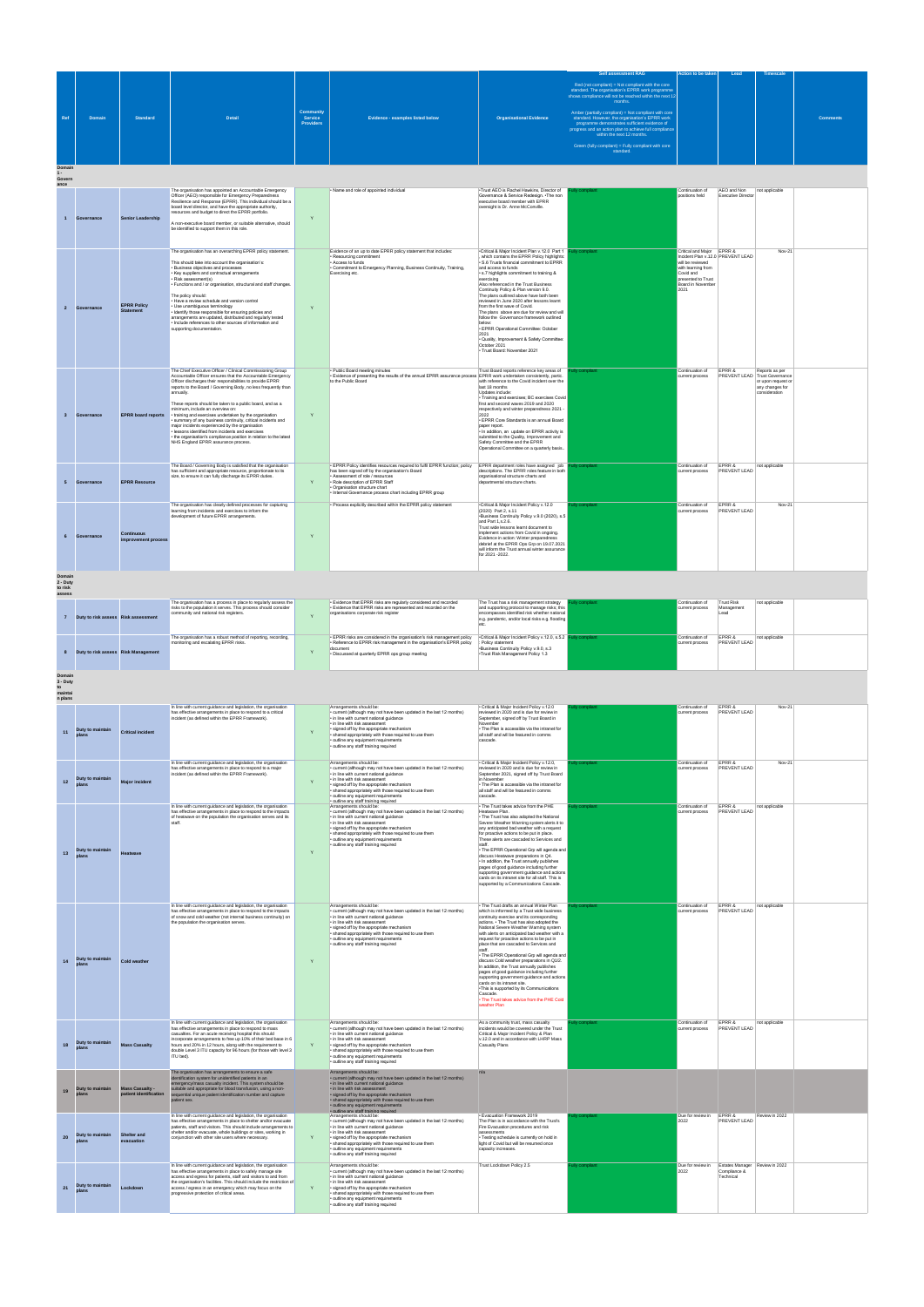|                           |                                     |                                          |                                                                                                                                                                                  |                             |                                                                                                                                                        |                                                                                                                                       | Self assessment RAG                                                                                      | <b>Action to be taken</b>                                      | Lead                                                    | <b>Timescale</b>                                       |                 |
|---------------------------|-------------------------------------|------------------------------------------|----------------------------------------------------------------------------------------------------------------------------------------------------------------------------------|-----------------------------|--------------------------------------------------------------------------------------------------------------------------------------------------------|---------------------------------------------------------------------------------------------------------------------------------------|----------------------------------------------------------------------------------------------------------|----------------------------------------------------------------|---------------------------------------------------------|--------------------------------------------------------|-----------------|
|                           |                                     |                                          |                                                                                                                                                                                  |                             |                                                                                                                                                        |                                                                                                                                       | Red (not compliant) = Not compliant with the core<br>standard. The organisation's EPRR work programme    |                                                                |                                                         |                                                        |                 |
|                           |                                     |                                          |                                                                                                                                                                                  |                             |                                                                                                                                                        |                                                                                                                                       | shows compliance will not be reached within the next 12<br>months.                                       |                                                                |                                                         |                                                        |                 |
| Ref                       | Domain                              | <b>Standard</b>                          | <b>Detail</b>                                                                                                                                                                    | <b>Community</b><br>Service | Evidence - examples listed below                                                                                                                       | <b>Organisational Evidence</b>                                                                                                        | Amber (partially compliant) = Not compliant with core<br>standard. However, the organisation's EPRR work |                                                                |                                                         |                                                        | <b>Comments</b> |
|                           |                                     |                                          |                                                                                                                                                                                  | <b>Providers</b>            |                                                                                                                                                        |                                                                                                                                       | programme demonstrates sufficient evidence of<br>progress and an action plan to achieve full compliance  |                                                                |                                                         |                                                        |                 |
|                           |                                     |                                          |                                                                                                                                                                                  |                             |                                                                                                                                                        |                                                                                                                                       | within the next 12 months.<br>Green (fully compliant) = Fully compliant with core<br>standard.           |                                                                |                                                         |                                                        |                 |
|                           |                                     |                                          |                                                                                                                                                                                  |                             |                                                                                                                                                        |                                                                                                                                       |                                                                                                          |                                                                |                                                         |                                                        |                 |
| Domain<br>$1 -$           |                                     |                                          |                                                                                                                                                                                  |                             |                                                                                                                                                        |                                                                                                                                       |                                                                                                          |                                                                |                                                         |                                                        |                 |
| Govern<br>ance            |                                     |                                          |                                                                                                                                                                                  |                             |                                                                                                                                                        |                                                                                                                                       |                                                                                                          | Continuation of                                                |                                                         |                                                        |                 |
|                           |                                     |                                          | The organisation has appointed an Accountable Emergency<br>Officer (AEO) responsible for Emergency Preparedness<br>Resilience and Response (EPRR). This individual should be a   |                             | Name and role of appointed individual                                                                                                                  | . Trust AEO is Rachel Hawkins, Director of<br>Governance & Service Redesign. . The non<br>executive board member with EPRR            | v compliar                                                                                               | positions held                                                 | AEO and Non not applicable<br><b>Executive Director</b> |                                                        |                 |
|                           |                                     |                                          | board level director, and have the appropriate authority,<br>resources and budget to direct the EPRR portfolio.                                                                  |                             |                                                                                                                                                        | oversight is Dr. Anne McConville.                                                                                                     |                                                                                                          |                                                                |                                                         |                                                        |                 |
|                           | Governance                          | <b>Senior Leadership</b>                 | A non-executive board member, or suitable alternative, should<br>be identified to support them in this role.                                                                     | Υ                           |                                                                                                                                                        |                                                                                                                                       |                                                                                                          |                                                                |                                                         |                                                        |                 |
|                           |                                     |                                          |                                                                                                                                                                                  |                             |                                                                                                                                                        |                                                                                                                                       |                                                                                                          |                                                                |                                                         |                                                        |                 |
|                           |                                     |                                          | The organisation has an overarching EPRR policy statement.                                                                                                                       |                             | Evidence of an up to date EPRR policy statement that includes:                                                                                         | . Critical & Major Incident Plan v.12.0 Part 1<br>, which contains the EPRR Policy highlights.                                        | <b>Illy compliant</b>                                                                                    | Critical and Major EPRR &<br>Incident Plan v.12.0 PREVENT LEAD |                                                         | Nov-21                                                 |                 |
|                           |                                     |                                          | This should take into account the organisation's:<br>· Business objectives and processes                                                                                         |                             | • Resourcing commitment<br>• Access to funds<br>· Commitment to Emergency Planning, Business Continuity, Training,                                     | . S.6 Trusts financial commitment to EPRR<br>and access to funds                                                                      |                                                                                                          | will be reviewed<br>with learning from                         |                                                         |                                                        |                 |
|                           |                                     |                                          | • Key suppliers and contractual arrangements<br>· Risk assessment(s)<br>· Functions and / or organisation, structural and staff changes.                                         |                             | Exercising etc.                                                                                                                                        | · s.7 highlights commitment to training &<br>exercising<br>Also referenced in the Trust Business                                      |                                                                                                          | Covid and<br>presented to Trust<br>Board in November           |                                                         |                                                        |                 |
|                           |                                     |                                          | The policy should:                                                                                                                                                               |                             |                                                                                                                                                        | Continuity Policy & Plan version 9.0.<br>The plans outlined above have both been                                                      |                                                                                                          | 2021                                                           |                                                         |                                                        |                 |
|                           | 2 Governance                        | <b>EPRR Policy</b><br><b>Statement</b>   | . Have a review schedule and version control<br>· Use unambiguous terminology                                                                                                    | Υ                           |                                                                                                                                                        | reviewed in June 2020 after lessons learnt<br>from the first wave of Covid.                                                           |                                                                                                          |                                                                |                                                         |                                                        |                 |
|                           |                                     |                                          | · Identify those responsible for ensuring policies and<br>arrangements are updated, distributed and regularly tested<br>· Include references to other sources of information and |                             |                                                                                                                                                        | The plans above are due for review and will<br>follow the Governance framework outlined<br>below                                      |                                                                                                          |                                                                |                                                         |                                                        |                 |
|                           |                                     |                                          | supporting documentation.                                                                                                                                                        |                             |                                                                                                                                                        | · EPRR Operational Committee: October<br>2021                                                                                         |                                                                                                          |                                                                |                                                         |                                                        |                 |
|                           |                                     |                                          |                                                                                                                                                                                  |                             |                                                                                                                                                        | · Quality, Improvement & Safety Committee:<br>October 2021<br>. Trust Board: November 2021                                            |                                                                                                          |                                                                |                                                         |                                                        |                 |
|                           |                                     |                                          |                                                                                                                                                                                  |                             |                                                                                                                                                        |                                                                                                                                       |                                                                                                          |                                                                |                                                         |                                                        |                 |
|                           |                                     |                                          | The Chief Executive Officer / Clinical Commissioning Group<br>Accountable Officer ensures that the Accountable Emergency                                                         |                             | • Public Board meeting minutes<br>. Evidence of presenting the results of the annual EPRR assurance process EPRR work undertaken consistently, partic. | Trust Board reports reference key areas of                                                                                            | illy compliant                                                                                           | Continuation of<br>current process                             | EPRR &<br>PREVENT LEAD Trust Governance                 | Reports as per                                         |                 |
|                           |                                     |                                          | Officer discharges their responsibilities to provide EPRR<br>reports to the Board / Governing Body, no less frequently than<br>annually.                                         |                             | to the Public Board                                                                                                                                    | with reference to the Covid incident over the<br>last 18 months<br>Updates include                                                    |                                                                                                          |                                                                |                                                         | or upon request or<br>any changes for<br>consideration |                 |
|                           |                                     |                                          | These reports should be taken to a public board, and as a                                                                                                                        |                             |                                                                                                                                                        | · Training and exercises; BC exercises Covid<br>first and second waves 2019 and 2020                                                  |                                                                                                          |                                                                |                                                         |                                                        |                 |
| $\overline{\mathbf{3}}$   | Governance                          | <b>EPRR</b> board reports                | minimum, include an overview on:<br>• training and exercises undertaken by the organisation                                                                                      | Υ                           |                                                                                                                                                        | respectively and winter preparedness 2021<br>2022                                                                                     |                                                                                                          |                                                                |                                                         |                                                        |                 |
|                           |                                     |                                          | summary of any business continuity, critical incidents and<br>major incidents experienced by the organisation<br>· lessons identified from incidents and exercises               |                             |                                                                                                                                                        | · EPRR Core Standards is an annual Board<br>paper report.<br>. In addition, an update on EPRR activity is                             |                                                                                                          |                                                                |                                                         |                                                        |                 |
|                           |                                     |                                          | • the organisation's compliance position in relation to the latest<br>NHS England EPRR assurance process.                                                                        |                             |                                                                                                                                                        | submitted to the Quality, Improvement and<br>Safety Committee and the EPRR                                                            |                                                                                                          |                                                                |                                                         |                                                        |                 |
|                           |                                     |                                          |                                                                                                                                                                                  |                             |                                                                                                                                                        | Operational Committee on a quarterly basis.                                                                                           |                                                                                                          |                                                                |                                                         |                                                        |                 |
|                           |                                     |                                          | The Board / Governing Body is satisfied that the organisation<br>has sufficient and appropriate resource, proportionate to its                                                   |                             | . EPRR Policy identifies resources required to fulfil EPRR function; policy<br>has been signed off by the organisation's Board                         | EPRR department roles have assigned job<br>descriptions. The EPRR roles feature in both                                               | <b>Illy compliant</b>                                                                                    | Continuation of<br>current process                             | EPRR &<br>PREVENT LEAD                                  | not applicable                                         |                 |
| -5                        | Governance                          | <b>EPRR Resource</b>                     | size, to ensure it can fully discharge its EPRR duties.                                                                                                                          | Y                           | + Assessment of role / resources<br>· Role description of EPRR Staff<br>· Organisation structure chart                                                 | organisational structure charts and<br>departmental structure charts.                                                                 |                                                                                                          |                                                                |                                                         |                                                        |                 |
|                           |                                     |                                          |                                                                                                                                                                                  |                             | · Internal Governance process chart including EPRR group                                                                                               |                                                                                                                                       |                                                                                                          |                                                                |                                                         |                                                        |                 |
|                           |                                     |                                          | The organisation has clearly defined processes for capturing<br>learning from incidents and exercises to inform the                                                              |                             | · Process explicitly described within the EPRR policy statement                                                                                        | .Critical & Major Incident Policy v.12.0<br>(2020) Part 2, s.11                                                                       | <b>Illy compliant</b>                                                                                    | Continuation of<br>current process                             | EPRR &<br>PREVENT LEAD                                  | Nov-21                                                 |                 |
|                           |                                     |                                          | development of future EPRR arrangements.                                                                                                                                         |                             |                                                                                                                                                        | -Business Continuity Policy v.9.0 (2020), s.5<br>and Part 1.s.2.6.<br>Trust wide lessons learnt document to                           |                                                                                                          |                                                                |                                                         |                                                        |                 |
| 6                         | Governance                          | <b>Continuous</b><br>improvement process |                                                                                                                                                                                  | $\mathsf Y$                 |                                                                                                                                                        | implement actions from Covid in ongoing.<br>Evidence in action: Winter preparedness                                                   |                                                                                                          |                                                                |                                                         |                                                        |                 |
|                           |                                     |                                          |                                                                                                                                                                                  |                             |                                                                                                                                                        | debrief at the EPRR Ops Grp on 19.07.2021<br>will inform the Trust annual winter assurance<br>for 2021 -2022.                         |                                                                                                          |                                                                |                                                         |                                                        |                 |
|                           |                                     |                                          |                                                                                                                                                                                  |                             |                                                                                                                                                        |                                                                                                                                       |                                                                                                          |                                                                |                                                         |                                                        |                 |
| Domai<br>2 - Duty         |                                     |                                          |                                                                                                                                                                                  |                             |                                                                                                                                                        |                                                                                                                                       |                                                                                                          |                                                                |                                                         |                                                        |                 |
| to risk<br>assess         |                                     |                                          |                                                                                                                                                                                  |                             |                                                                                                                                                        |                                                                                                                                       |                                                                                                          |                                                                |                                                         |                                                        |                 |
|                           |                                     |                                          | The organisation has a process in place to regularly assess the<br>risks to the population it serves. This process should consider                                               |                             | . Evidence that EPRR risks are regularly considered and recorded<br>. Evidence that EPRR risks are represented and recorded on the                     | The Trust has a risk management strategy<br>and supporting protocol to manage risks; this                                             | lv complian                                                                                              | Continuation of<br>current process                             | <b>Trust Risk</b><br>Management                         | not applicable                                         |                 |
| $\overline{7}$            | Duty to risk assess Risk assessment |                                          | community and national risk registers.                                                                                                                                           | Y                           | organisations corporate risk register                                                                                                                  | encompasses identified risk whether national<br>e.g. pandemic, and/or local risks e.g. flooding                                       |                                                                                                          |                                                                | Lead                                                    |                                                        |                 |
|                           |                                     |                                          | The organisation has a robust method of reporting, recording,                                                                                                                    |                             | . EPRR risks are considered in the organisation's risk management policy                                                                               | .Critical & Major Incident Policy v.12.0, s.5.2 Fully compliant                                                                       |                                                                                                          | Continuation of                                                | EPRR &                                                  | not applicable                                         |                 |
|                           | Duty to risk assess Risk Management |                                          | monitoring and escalating EPRR risks.                                                                                                                                            | Y                           | · Reference to EPRR risk management in the organisation's EPRR policy<br>document<br>· Discussed at quarterly EPRR ops group meeting                   | Policy statement<br>*Business Continuity Policy v.9.0, s.3                                                                            |                                                                                                          | current process                                                | PREVENT LEAD                                            |                                                        |                 |
|                           |                                     |                                          |                                                                                                                                                                                  |                             |                                                                                                                                                        | .Trust Risk Management Policy 1.3                                                                                                     |                                                                                                          |                                                                |                                                         |                                                        |                 |
| Domaiı                    |                                     |                                          |                                                                                                                                                                                  |                             |                                                                                                                                                        |                                                                                                                                       |                                                                                                          |                                                                |                                                         |                                                        |                 |
| 3 - Duty<br>to<br>maintai |                                     |                                          |                                                                                                                                                                                  |                             |                                                                                                                                                        |                                                                                                                                       |                                                                                                          |                                                                |                                                         |                                                        |                 |
| n plans                   |                                     |                                          | In line with current guidance and legislation, the organisation                                                                                                                  |                             | Arrangements should be:                                                                                                                                | · Critical & Major Incident Policy v.12.0                                                                                             | lly complian                                                                                             | Continuation of                                                | EPRR &                                                  | Nov-21                                                 |                 |
|                           |                                     |                                          | has effective arrangements in place to respond to a critical<br>incident (as defined within the EPRR Framework).                                                                 |                             | • current (although may not have been updated in the last 12 months)<br>· in line with current national guidance<br>· in line with risk assessment     | reviewed in 2020 and is due for review in<br>September, signed off by Trust Board in<br>November                                      |                                                                                                          | current process                                                | PREVENT LEAD                                            |                                                        |                 |
| 11                        | Duty to maintain<br>plans           | <b>Critical incident</b>                 |                                                                                                                                                                                  | Y                           | · signed off by the appropriate mechanism<br>· shared appropriately with those required to use them                                                    | . The Plan is accessible via the intranet for<br>all staff and will be featured in comms                                              |                                                                                                          |                                                                |                                                         |                                                        |                 |
|                           |                                     |                                          |                                                                                                                                                                                  |                             | · outline any equipment requirements<br>· outline any staff training required                                                                          | cascade.                                                                                                                              |                                                                                                          |                                                                |                                                         |                                                        |                 |
|                           |                                     |                                          | In line with current guidance and legislation, the organisation                                                                                                                  |                             | Arrangements should be:                                                                                                                                | · Critical & Major Incident Policy v.12.0,                                                                                            | <b>Illy compliant</b>                                                                                    | Continuation of                                                | EPRR &                                                  | Nov-21                                                 |                 |
|                           | Duty to maintain                    |                                          | has effective arrangements in place to respond to a major<br>incident (as defined within the EPRR Framework).                                                                    |                             | • current (although may not have been updated in the last 12 months)<br>· in line with current national guidance<br>. in line with risk assessment     | reviewed in 2020 and is due for review in<br>September 2021, signed off by Trust Board<br>in November                                 |                                                                                                          | current process                                                | PREVENT LEAD                                            |                                                        |                 |
| 12                        | plans                               | <b>Major incident</b>                    |                                                                                                                                                                                  | Y                           | · signed off by the appropriate mechanism<br>· shared appropriately with those required to use them                                                    | . The Plan is accessible via the intranet for<br>all staff and will be featured in comms                                              |                                                                                                          |                                                                |                                                         |                                                        |                 |
|                           |                                     |                                          | In line with current guidance and legislation, the organisation                                                                                                                  |                             | · outline any equipment requirements<br>· outline any staff training required<br>Arrangements should be:                                               | cascade.<br>. The Trust takes advice from the PHE                                                                                     | <b>Illy compliant</b>                                                                                    | Continuation of                                                | EPRR &                                                  | not applicable                                         |                 |
|                           |                                     |                                          | has effective arrangements in place to respond to the impacts<br>of heatwave on the population the organisation serves and its                                                   |                             | • current (although may not have been updated in the last 12 months)<br>· in line with current national guidance                                       | Heatwaye Plan.<br>. The Trust has also adopted the National                                                                           |                                                                                                          | current process                                                | PREVENT LEAD                                            |                                                        |                 |
|                           |                                     |                                          | staff.                                                                                                                                                                           |                             | · in line with risk assessment<br>· signed off by the appropriate mechanism<br>· shared appropriately with those required to use them                  | Severe Weather Warning system alerts it to<br>any anticipated bad weather with a request<br>for proactive actions to be put in place. |                                                                                                          |                                                                |                                                         |                                                        |                 |
|                           |                                     |                                          |                                                                                                                                                                                  |                             | · outline any equipment requirements<br>· outline any staff training required                                                                          | These alerts are cascaded to Services and<br>staft                                                                                    |                                                                                                          |                                                                |                                                         |                                                        |                 |
| 13                        | Duty to maintain<br>plans           | Heatwave                                 |                                                                                                                                                                                  | Y                           |                                                                                                                                                        | . The EPRR Operational Grp will agenda and<br>discuss Heatwave preparations in Q4.                                                    |                                                                                                          |                                                                |                                                         |                                                        |                 |
|                           |                                     |                                          |                                                                                                                                                                                  |                             |                                                                                                                                                        | . In addition, the Trust annually publishes<br>pages of good guidance including further<br>supporting government guidance and actions |                                                                                                          |                                                                |                                                         |                                                        |                 |
|                           |                                     |                                          |                                                                                                                                                                                  |                             |                                                                                                                                                        | cards on its intranet site for all staff. This is<br>supported by a Communications Cascade.                                           |                                                                                                          |                                                                |                                                         |                                                        |                 |
|                           |                                     |                                          |                                                                                                                                                                                  |                             |                                                                                                                                                        |                                                                                                                                       |                                                                                                          |                                                                |                                                         |                                                        |                 |
|                           |                                     |                                          | In line with current guidance and legislation, the organisation<br>has effective arrangements in place to respond to the impacts                                                 |                             | Arrangements should be:<br>• current (although may not have been updated in the last 12 months)                                                        | . The Trust drafts an annual Winter Plan<br>which is informed by a Trust wide business                                                | <b>Illy complian</b>                                                                                     | Continuation of<br>current process                             | EPRR &<br>PREVENT LEAD                                  | not applicable                                         |                 |
|                           |                                     |                                          | of snow and cold weather (not internal business continuity) on<br>the population the organisation serves.                                                                        |                             | · in line with current national guidance<br>• in line with risk assessment<br>· signed off by the appropriate mechanism                                | continuity exercise and its corresponding<br>actions. • The Trust has also adopted the<br>National Severe Weather Warning system      |                                                                                                          |                                                                |                                                         |                                                        |                 |
|                           |                                     |                                          |                                                                                                                                                                                  |                             | · shared appropriately with those required to use them<br>· outline any equipment requirements                                                         | with alerts on anticipated bad weather with a<br>request for proactive actions to be put in                                           |                                                                                                          |                                                                |                                                         |                                                        |                 |
|                           |                                     |                                          |                                                                                                                                                                                  |                             | · outline any staff training required                                                                                                                  | place that are cascaded to Services and<br>. The EPRR Operational Grp will agenda and                                                 |                                                                                                          |                                                                |                                                         |                                                        |                 |
| 14                        | Duty to maintain                    | <b>Cold weather</b>                      |                                                                                                                                                                                  |                             |                                                                                                                                                        | discuss Cold weather preparations in Q1/2.                                                                                            |                                                                                                          |                                                                |                                                         |                                                        |                 |

|    | Duty to maintain<br>plans | <b>Cold weather</b>                              |                                                                                                                                                                                                                                                                                                                                                                                                     |                                                                                                                                                                                                                                                                                                                                                                       | • The EPRR Operational Grp will agenda and<br>discuss Cold weather preparations in Q1/2.<br>In addition, the Trust annually publishes<br>pages of good guidance including further<br>supporting government guidance and actions<br>cards on its intranet site.<br>. This is supported by its Communications<br>Cascade.<br>. The Trust takes advice from the PHE Cold<br>weather Plan |                       |                                    |                                                             |                |  |
|----|---------------------------|--------------------------------------------------|-----------------------------------------------------------------------------------------------------------------------------------------------------------------------------------------------------------------------------------------------------------------------------------------------------------------------------------------------------------------------------------------------------|-----------------------------------------------------------------------------------------------------------------------------------------------------------------------------------------------------------------------------------------------------------------------------------------------------------------------------------------------------------------------|---------------------------------------------------------------------------------------------------------------------------------------------------------------------------------------------------------------------------------------------------------------------------------------------------------------------------------------------------------------------------------------|-----------------------|------------------------------------|-------------------------------------------------------------|----------------|--|
| 18 | Duty to maintain<br>plans | <b>Mass Casualty</b>                             | In line with current guidance and legislation, the organisation<br>has effective arrangements in place to respond to mass<br>casualties. For an acute receiving hospital this should<br>incorporate arrangements to free up 10% of their bed base in 6<br>hours and 20% in 12 hours, along with the requirement to<br>double Level 3 ITU capacity for 96 hours (for those with level 3<br>ITU bed). | Arrangements should be:<br>• current (although may not have been updated in the last 12 months)<br>· in line with current national quidance<br>. in line with risk assessment<br>• signed off by the appropriate mechanism<br>· shared appropriately with those required to use them<br>· outline any equipment requirements<br>· outline any staff training required | As a community trust, mass casualty<br>incidents would be covered under the Trust<br>Critical & Maior Incident Policy & Plan<br>v.12.0 and in accordance with LHRP Mass<br>Casualty Plans                                                                                                                                                                                             | <b>Illy compliant</b> | Continuation of<br>current process | EPRR &<br><b>PREVENT LEAD</b>                               | not applicable |  |
| 19 | Duty to maintain          | <b>Mass Casualty -</b><br>patient identification | The organisation has arrangements to ensure a safe<br>identification system for unidentified patients in an<br>emergency/mass casualty incident. This system should be<br>suitable and appropriate for blood transfusion, using a non-<br>sequential unique patient identification number and capture<br>patient sex.                                                                               | Arrangements should be:<br>• current (although may not have been updated in the last 12 months)<br>. in line with current national guidance<br>. in line with risk assessment<br>· signed off by the appropriate mechanism<br>· shared appropriately with those required to use them<br>· outline any equipment requirements<br>· outline any staff training required | n/a                                                                                                                                                                                                                                                                                                                                                                                   |                       |                                    |                                                             |                |  |
|    | Duty to maintain<br>plans | Shelter and<br>evacuation                        | In line with current guidance and legislation, the organisation<br>has effective arrangements in place to shelter and/or evacuate<br>patients, staff and visitors. This should include arrangements to<br>shelter and/or evacuate, whole buildings or sites, working in<br>conjunction with other site users where necessary.                                                                       | Arrangements should be:<br>• current (although may not have been updated in the last 12 months)<br>. in line with current national quidance<br>. in line with risk assessment<br>· signed off by the appropriate mechanism<br>· shared appropriately with those required to use them<br>· outline any equipment requirements<br>· outline any staff training required | . Evacuation Framework 2019<br>The Plan is in accordance with the Trust's<br>Fire Evacuation procedures and risk<br>assessments<br>. Testing schedule is currently on hold in<br>light of Covid but will be resumed once<br>capacity increases.                                                                                                                                       | Fully compliant       | Due for review in<br>2022          | EPRR &<br><b>PREVENT LEAD</b>                               | Review in 2022 |  |
| 21 | Duty to maintain          | Lockdown                                         | In line with current guidance and legislation, the organisation<br>has effective arrangements in place to safely manage site<br>access and egress for patients, staff and visitors to and from<br>the organisation's facilities. This should include the restriction of<br>access / egress in an emergency which may focus on the<br>progressive protection of critical areas.                      | Arrangements should be:<br>• current (although may not have been updated in the last 12 months)<br>. in line with current national quidance<br>. in line with risk assessment<br>• signed off by the appropriate mechanism<br>· shared appropriately with those required to use them<br>· outline any equipment requirements<br>· outline any staff training required | Trust Lockdown Policy 2.5                                                                                                                                                                                                                                                                                                                                                             | Fully compliant       | Due for review in<br>2022          | Estates Manager Review in 2022<br>Compliance &<br>Technical |                |  |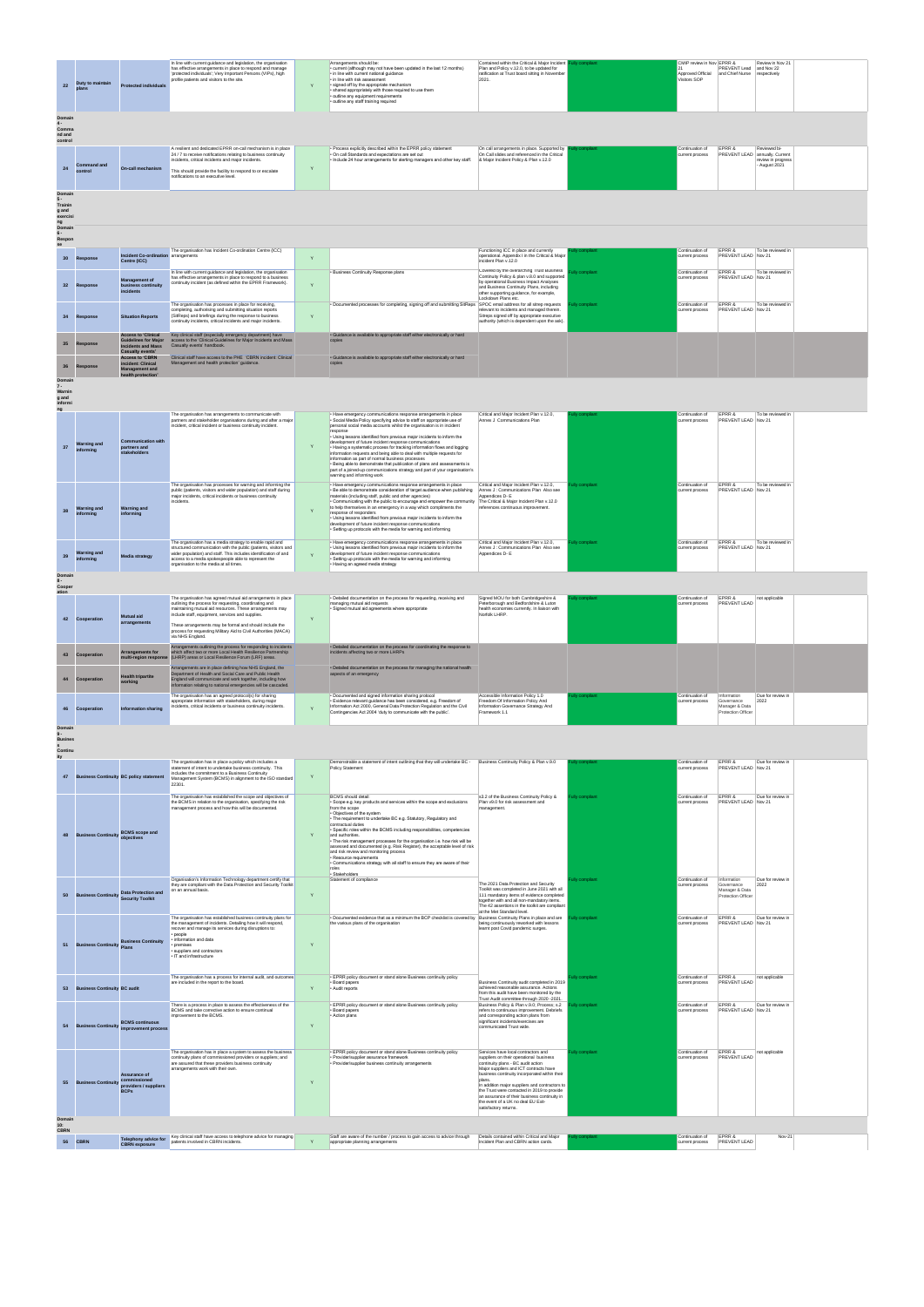| 22                                            | Duty to maintain                     | <b>Protected individuals</b>                                                                                      | In line with current guidance and legislation, the organisation<br>has effective arrangements in place to respond and manage<br>'protected individuals'; Very Important Persons (VIPs), high<br>profile patients and visitors to the site.                                                                                                                           | Y            | Arrangements should be:<br>• current (although may not have been updated in the last 12 months)<br>· in line with current national guidance<br>· in line with risk assessment<br>· signed off by the appropriate mechanism<br>· shared appropriately with those required to use them<br>· outline any equipment requirements<br>· outline any staff training required                                                                                                                                                                                                                                                             | Contained within the Critical & Major Incident<br>Plan and Policy v.12.0, to be updated for<br>ratification at Trust board sitting in November<br>2021.                                                                                                                                                                                                                                                                                   | lly complian          | CMIP review in Nov EPRR &<br>21<br>Visitors SOP | Review in Nov 21<br>PREVENT Lead and Nov 22<br>Approved Official and Chief Nurse respectively   |  |
|-----------------------------------------------|--------------------------------------|-------------------------------------------------------------------------------------------------------------------|----------------------------------------------------------------------------------------------------------------------------------------------------------------------------------------------------------------------------------------------------------------------------------------------------------------------------------------------------------------------|--------------|-----------------------------------------------------------------------------------------------------------------------------------------------------------------------------------------------------------------------------------------------------------------------------------------------------------------------------------------------------------------------------------------------------------------------------------------------------------------------------------------------------------------------------------------------------------------------------------------------------------------------------------|-------------------------------------------------------------------------------------------------------------------------------------------------------------------------------------------------------------------------------------------------------------------------------------------------------------------------------------------------------------------------------------------------------------------------------------------|-----------------------|-------------------------------------------------|-------------------------------------------------------------------------------------------------|--|
| Domair<br>Comma<br>nd and<br>control          |                                      |                                                                                                                   |                                                                                                                                                                                                                                                                                                                                                                      |              |                                                                                                                                                                                                                                                                                                                                                                                                                                                                                                                                                                                                                                   |                                                                                                                                                                                                                                                                                                                                                                                                                                           |                       |                                                 |                                                                                                 |  |
| 24                                            | <b>Command and</b>                   | On-call mechanism                                                                                                 | A resilient and dedicated EPRR on-call mechanism is in place<br>24 / 7 to receive notifications relating to business continuity<br>incidents, critical incidents and major incidents.<br>This should provide the facility to respond to or escalate<br>notifications to an executive level.                                                                          | Y            | · Process explicitly described within the EPRR policy statement<br>. On call Standards and expectations are set out<br>. Include 24 hour arrangements for alerting managers and other key staff.                                                                                                                                                                                                                                                                                                                                                                                                                                  | On call arrangements in place. Supported by<br>On Call slides and referenced in the Critical<br>& Major Incident Policy & Plan v.12.0                                                                                                                                                                                                                                                                                                     | llv complian          | Continuation of<br>current process              | EPRR &<br>Reviewed bi-<br>PREVENT LEAD annually. Current<br>review in progress<br>- August 2021 |  |
| Domain<br><b>Trainin</b><br>g and<br>exercisi |                                      |                                                                                                                   |                                                                                                                                                                                                                                                                                                                                                                      |              |                                                                                                                                                                                                                                                                                                                                                                                                                                                                                                                                                                                                                                   |                                                                                                                                                                                                                                                                                                                                                                                                                                           |                       |                                                 |                                                                                                 |  |
| Domain<br>Respon                              |                                      |                                                                                                                   |                                                                                                                                                                                                                                                                                                                                                                      |              |                                                                                                                                                                                                                                                                                                                                                                                                                                                                                                                                                                                                                                   |                                                                                                                                                                                                                                                                                                                                                                                                                                           |                       |                                                 |                                                                                                 |  |
| 30 <sup>°</sup>                               | Response                             | <b>Incident Co-ordination</b> arrangements<br>Centre (ICC)                                                        | The organisation has Incident Co-ordination Centre (ICC)                                                                                                                                                                                                                                                                                                             | Y            |                                                                                                                                                                                                                                                                                                                                                                                                                                                                                                                                                                                                                                   | Functioning ICC in place and currently<br>operational. Appendix I in the Critical & Major<br>incident Plan v.12.0                                                                                                                                                                                                                                                                                                                         | lly complian          | Continuation of<br>current process              | EPRR &<br>To be reviewed in<br>PREVENT LEAD Nov 21                                              |  |
|                                               | 32 Response                          | <b>Management of</b><br>business continuity<br>incidents                                                          | In line with current guidance and legislation, the organisation<br>has effective arrangements in place to respond to a business<br>continuity incident (as defined within the EPRR Framework).                                                                                                                                                                       | Y            | · Business Continuity Response plans                                                                                                                                                                                                                                                                                                                                                                                                                                                                                                                                                                                              | Covered by the overarching Trust Business<br>Continuity Policy & plan v.8.0 and supported<br>by operational Business Impact Analyses<br>and Business Continuity Plans, including<br>other supporting guidance, for example,                                                                                                                                                                                                               | <b>Illy compliant</b> | Continuation of<br>current process              | EPRR &<br>To be reviewed in<br>PREVENT LEAD Nov 21                                              |  |
| 34                                            | Response                             | <b>Situation Reports</b>                                                                                          | The organisation has processes in place for receiving,<br>completing, authorising and submitting situation reports<br>(SitReps) and briefings during the response to business<br>continuity incidents, critical incidents and major incidents.                                                                                                                       | Y            | . Documented processes for completing, signing off and submitting SitReps SPOC email address for all sitrep requests                                                                                                                                                                                                                                                                                                                                                                                                                                                                                                              | Lockdown Plans etc.<br>relevant to incidents and managed therein.<br>Sitreps signed off by appropriate executive<br>authority (which is dependent upon the ask).                                                                                                                                                                                                                                                                          | ully compliant        | Continuation of<br>current process              | EPRR &<br>To be reviewed in<br>PREVENT LEAD Nov 21                                              |  |
| 35                                            | <b>Response</b>                      | <b>Access to 'Clinical</b><br><b>Guidelines for Major</b><br><b>Incidents and Mass</b><br><b>Casualty events'</b> | Key clinical staff (especially emergency department) have<br>access to the 'Clinical Guidelines for Major Incidents and Mass<br>Casualty events' handbook.                                                                                                                                                                                                           |              | . Guidance is available to appropriate staff either electronically or hard<br>copies                                                                                                                                                                                                                                                                                                                                                                                                                                                                                                                                              |                                                                                                                                                                                                                                                                                                                                                                                                                                           |                       |                                                 |                                                                                                 |  |
| 36                                            | <b>Response</b>                      | <b>Access to 'CBRN</b><br>incident: Clinical<br><b>Management and</b><br>health protection'                       | Clinical staff have access to the PHE 'CBRN incident: Clinical<br>Management and health protection' guidance.                                                                                                                                                                                                                                                        |              | · Guidance is available to appropriate staff either electronically or hard<br>copies                                                                                                                                                                                                                                                                                                                                                                                                                                                                                                                                              |                                                                                                                                                                                                                                                                                                                                                                                                                                           |                       |                                                 |                                                                                                 |  |
| Domain<br>Warnin<br>a and<br>informi<br>ng    |                                      |                                                                                                                   |                                                                                                                                                                                                                                                                                                                                                                      |              |                                                                                                                                                                                                                                                                                                                                                                                                                                                                                                                                                                                                                                   |                                                                                                                                                                                                                                                                                                                                                                                                                                           |                       |                                                 |                                                                                                 |  |
|                                               |                                      |                                                                                                                   | The organisation has arrangements to communicate with<br>partners and stakeholder organisations during and after a major<br>incident, critical incident or business continuity incident.                                                                                                                                                                             |              | · Have emergency communications response arrangements in place<br>· Social Media Policy specifying advice to staff on appropriate use of<br>personal social media accounts whilst the organisation is in incident<br>response                                                                                                                                                                                                                                                                                                                                                                                                     | Critical and Major Incident Plan v.12.0,<br>Annex J Communications Plan                                                                                                                                                                                                                                                                                                                                                                   | ully compliant        | Continuation of<br>current process              | FPRR &<br>To be reviewed in<br>PREVENT LEAD Nov 21                                              |  |
| 37                                            | <b>Warning and</b>                   | <b>Communication with</b><br>partners and<br>stakeholders                                                         |                                                                                                                                                                                                                                                                                                                                                                      | Y            | . Using lessons identified from previous major incidents to inform the<br>development of future incident response communications<br>. Having a systematic process for tracking information flows and logging<br>information requests and being able to deal with multiple requests for<br>information as part of normal business processes<br>. Being able to demonstrate that publication of plans and assessments is<br>part of a joined-up communications strategy and part of your organisation's<br>warning and informing work                                                                                               |                                                                                                                                                                                                                                                                                                                                                                                                                                           |                       |                                                 |                                                                                                 |  |
|                                               | <b>Warning and</b>                   | <b>Warning and</b><br>informing                                                                                   | The organisation has processes for warning and informing the<br>public (patients, visitors and wider population) and staff during<br>major incidents, critical incidents or business continuity<br>incidents.                                                                                                                                                        | Y            | . Have emergency communications response arrangements in place<br>. Be able to demonstrate consideration of target audience when publishing<br>materials (including staff, public and other agencies)<br>. Communicating with the public to encourage and empower the community   The Critical & Major Incident Plan v.12.0<br>to help themselves in an emergency in a way which compliments the<br>response of responders<br>. Using lessons identified from previous major incidents to inform the<br>development of future incident response communications<br>. Setting up protocols with the media for warning and informing | Critical and Maior Incident Plan v.12.0.<br>Annex J : Communications Plan Also see<br>Appendices D- E<br>references continuous improvement.                                                                                                                                                                                                                                                                                               | ully compliant        | Continuation of<br>current process              | EPRR &<br>To be reviewed in<br>PREVENT LEAD Nov 21                                              |  |
|                                               | informina                            | <b>Media strategy</b>                                                                                             | The organisation has a media strategy to enable rapid and<br>structured communication with the public (patients, visitors and<br>wider population) and staff. This includes identification of and<br>access to a media spokespeople able to represent the<br>organisation to the media at all times.                                                                 | Y            | . Have emergency communications response arrangements in place<br>. Using lessons identified from previous major incidents to inform the<br>development of future incident response communications<br>· Setting up protocols with the media for warning and informing<br>· Having an agreed media strategy                                                                                                                                                                                                                                                                                                                        | Critical and Major Incident Plan v.12.0,<br>Annex J : Communications Plan, Also see<br>Appendices D- E                                                                                                                                                                                                                                                                                                                                    | ully compliant        | Continuation of<br>current process              | EPRR &<br>To be reviewed in<br>PREVENT LEAD Nov 21                                              |  |
| Domair<br>Cooper                              |                                      |                                                                                                                   |                                                                                                                                                                                                                                                                                                                                                                      |              |                                                                                                                                                                                                                                                                                                                                                                                                                                                                                                                                                                                                                                   |                                                                                                                                                                                                                                                                                                                                                                                                                                           |                       |                                                 |                                                                                                 |  |
| ation                                         | 42 Cooperation                       | <b>Mutual aid</b><br>arrangement:                                                                                 | The organisation has agreed mutual aid arrangements in place<br>outlining the process for requesting, coordinating and<br>maintaining mutual aid resources. These arrangements may<br>include staff, equipment, services and supplies.<br>These arrangements may be formal and should include the<br>process for requesting Military Aid to Civil Authorities (MACA) | Y            | . Detailed documentation on the process for requesting, receiving and<br>managing mutual aid requests<br>· Signed mutual aid agreements where appropriate                                                                                                                                                                                                                                                                                                                                                                                                                                                                         | Signed MOU for both Cambridgeshire &<br>Peterborough and Bedfordshire & Luton<br>health economies currently. In liaison with<br>Norfolk LHRP.                                                                                                                                                                                                                                                                                             |                       | Continuation of<br>current process              | EPRR &<br>not applicable<br>PREVENT LEAD                                                        |  |
| 43                                            | Cooperation                          | Arrangements for                                                                                                  | via NHS England.<br>Arrangements outlining the process for responding to incidents<br>which affect two or more Local Health Resilience Partnership                                                                                                                                                                                                                   |              | . Detailed documentation on the process for coordinating the response to<br>incidents affecting two or more LHRPs                                                                                                                                                                                                                                                                                                                                                                                                                                                                                                                 |                                                                                                                                                                                                                                                                                                                                                                                                                                           |                       |                                                 |                                                                                                 |  |
| 44                                            | Cooperation                          | multi-region response<br><b>Health tripartite</b><br>working                                                      | (LHRP) areas or Local Resilience Forum (LRF) areas.<br>Arrangements are in place defining how NHS England, the<br>Department of Health and Social Care and Public Health<br>England will communicate and work together, including how<br>information relating to national emergencies will be cascaded.                                                              |              | . Detailed documentation on the process for managing the national health<br>aspects of an emergency                                                                                                                                                                                                                                                                                                                                                                                                                                                                                                                               |                                                                                                                                                                                                                                                                                                                                                                                                                                           |                       |                                                 |                                                                                                 |  |
| 46                                            | Cooperation                          | <b>Information sharing</b>                                                                                        | The organisation has an agreed protocol(s) for sharing<br>appropriate information with stakeholders, during major<br>incidents, critical incidents or business continuity incidents.                                                                                                                                                                                 |              | • Documented and signed information sharing protocol<br>· Evidence relevant guidance has been considered, e.g. Freedom of<br>Information Act 2000, General Data Protection Regulation and the Civil<br>Contingencies Act 2004 'duty to communicate with the public'.                                                                                                                                                                                                                                                                                                                                                              | Accessible Information Policy 1.0<br>Freedom Of Information Policy And<br>Information Governance Strategy And<br>Framework 1.1                                                                                                                                                                                                                                                                                                            | Ilv compliant         | Continuation of<br>current process              | Due for review in<br>Information<br>2022<br>Governance<br>Manager & Data<br>Protection Officer  |  |
| Domain<br><b>Busines</b>                      |                                      |                                                                                                                   |                                                                                                                                                                                                                                                                                                                                                                      |              |                                                                                                                                                                                                                                                                                                                                                                                                                                                                                                                                                                                                                                   |                                                                                                                                                                                                                                                                                                                                                                                                                                           |                       |                                                 |                                                                                                 |  |
| Contin<br>itv<br>47                           |                                      | <b>Business Continuity BC policy statement</b>                                                                    | The organisation has in place a policy which includes a<br>statement of intent to undertake business continuity. This<br>includes the commitment to a Business Continuity<br>Management System (BCMS) in alignment to the ISO standard                                                                                                                               | $\mathsf Y$  | Demonstrable a statement of intent outlining that they will undertake BC - Business Continuity Policy & Plan v.9.0<br>Policy Statement                                                                                                                                                                                                                                                                                                                                                                                                                                                                                            |                                                                                                                                                                                                                                                                                                                                                                                                                                           | illy complian         | Continuation of<br>current process              | EPRR &<br>Due for review in<br>PREVENT LEAD Nov 21                                              |  |
|                                               |                                      |                                                                                                                   | 22301.<br>The organisation has established the scope and objectives of<br>the BCMS in relation to the organisation, specifying the risk<br>management process and how this will be documented.                                                                                                                                                                       |              | <b>BCMS</b> should detail:<br>· Scope e.g. key products and services within the scope and exclusions<br>from the scope<br>· Objectives of the system<br>. The requirement to undertake BC e.g. Statutory, Regulatory and<br>contractual duties<br>· Specific roles within the BCMS including responsibilities, competencies                                                                                                                                                                                                                                                                                                       | s3.2 of the Business Continuity Policy &<br>Plan v9.0 for risk assessment and<br>management.                                                                                                                                                                                                                                                                                                                                              | ully compliant        | Continuation of<br>current process              | EPRR &<br>Due for review in<br>PREVENT LEAD Nov 21                                              |  |
| 48                                            | <b>Business Continuity</b>           | <b>BCMS</b> scope and<br>objectives                                                                               |                                                                                                                                                                                                                                                                                                                                                                      | Y            | and authorities.<br>. The risk management processes for the organisation i.e. how risk will be<br>assessed and documented (e.g. Risk Register), the acceptable level of risk<br>and risk review and monitoring process<br>· Resource requirements<br>. Communications strategy with all staff to ensure they are aware of their<br>roles<br>· Stakeholders                                                                                                                                                                                                                                                                        |                                                                                                                                                                                                                                                                                                                                                                                                                                           |                       |                                                 |                                                                                                 |  |
| 50                                            | Business Continuity Security Toolkit | <b>Data Protection and</b>                                                                                        | Organisation's Information Technology department certify that<br>they are compliant with the Data Protection and Security Toolkit<br>on an annual basis.                                                                                                                                                                                                             | Y            | Statement of compliance                                                                                                                                                                                                                                                                                                                                                                                                                                                                                                                                                                                                           | The 2021 Data Protection and Security<br>Toolkit was completed in June 2021 with all<br>111 mandatory items of evidence completed<br>together with and all non-mandatory items.<br>The 42 assertions in the toolkit are compliant<br>at the Met Standard level.                                                                                                                                                                           | ully compliant        | Continuation of<br>current process              | Information<br>Due for review in<br>Governance<br>2022<br>Manager & Data<br>Protection Officer  |  |
| 51                                            | <b>Business Continuity</b>           | <b>Business Continuity</b><br>Plans                                                                               | The organisation has established business continuity plans for<br>the management of incidents. Detailing how it will respond,<br>recover and manage its services during disruptions to:<br>· people<br>. information and data<br>· premises<br>· suppliers and contractors                                                                                           | Y            | . Documented evidence that as a minimum the BCP checklist is covered by Business Continuity Plans in place and are<br>the various plans of the organisation                                                                                                                                                                                                                                                                                                                                                                                                                                                                       | being continuously reworked with lessons<br>learnt post Covid pandemic surges.                                                                                                                                                                                                                                                                                                                                                            | ully compliant        | Continuation of<br>current process              | EPRR &<br>Due for review in<br>PREVENT LEAD Nov 21                                              |  |
|                                               | 53 Business Continuity BC audit      |                                                                                                                   | . IT and infrastructure<br>The organisation has a process for internal audit, and outcomes<br>are included in the report to the board.                                                                                                                                                                                                                               | Y            | · EPRR policy document or stand alone Business continuity policy<br>· Board papers<br>· Audit reports                                                                                                                                                                                                                                                                                                                                                                                                                                                                                                                             | Business Continuity audit completed in 2019<br>achieved reasonable assurance. Actions<br>from this audit have been monitored by the<br>Trust Audit committee through 2020 -2021.                                                                                                                                                                                                                                                          | <b>Illy compliant</b> | Continuation of<br>current process              | EPRR &<br>not applicable<br>PREVENT LEAD                                                        |  |
| 54                                            | <b>Business Continuity</b>           | <b>BCMS</b> continuous<br>improvement process                                                                     | There is a process in place to assess the effectiveness of the<br>BCMS and take corrective action to ensure continual<br>improvement to the BCMS.                                                                                                                                                                                                                    | Y            | · EPRR policy document or stand alone Business continuity policy<br>· Board papers<br>• Action plans                                                                                                                                                                                                                                                                                                                                                                                                                                                                                                                              | Business Policy & Plan v.9.0; Process; s.2<br>refers to continuous improvement. Debriefs<br>and corresponding action plans from<br>significant incidents/exercises are<br>communicated Trust wide.                                                                                                                                                                                                                                        | ully compliant        | Continuation of<br>current process              | EPRR &<br>Due for review in<br>PREVENT LEAD Nov 21                                              |  |
|                                               | 55 Business Continuity               | <b>Assurance of</b><br>providers / suppliers<br><b>BCPs</b>                                                       | The organisation has in place a system to assess the business<br>continuity plans of commissioned providers or suppliers; and<br>are assured that these providers business continuity<br>arrangements work with their own.                                                                                                                                           | $\mathbf{Y}$ | · EPRR policy document or stand alone Business continuity policy<br>· Provider/supplier assurance framework<br>· Provider/supplier business continuity arrangements                                                                                                                                                                                                                                                                                                                                                                                                                                                               | Services have local contractors and<br>suppliers on their operational business<br>continuity plans - BC audit action<br>Major suppliers and ICT contracts have<br>business continuity incorporated within their<br>plans.<br>In addition major suppliers and contractors to<br>the Trust were contacted in 2019 to provide<br>an assurance of their business continuity in<br>the event of a UK no deal EU Exit-<br>satisfactory returns. | ully compliant        | Continuation of<br>current process              | EPRR &<br>not applicable<br>PREVENT LEAD                                                        |  |
| Domain<br>10:<br><b>CBRN</b>                  |                                      |                                                                                                                   |                                                                                                                                                                                                                                                                                                                                                                      |              |                                                                                                                                                                                                                                                                                                                                                                                                                                                                                                                                                                                                                                   |                                                                                                                                                                                                                                                                                                                                                                                                                                           |                       |                                                 |                                                                                                 |  |
|                                               | 56 CBRN                              | <b>Telephony advice for</b><br><b>CBRN</b> exposure                                                               | Key clinical staff have access to telephone advice for managing<br>patients involved in CBRN incidents.                                                                                                                                                                                                                                                              |              | Staff are aware of the number / process to gain access to advice through<br>appropriate planning arrangements                                                                                                                                                                                                                                                                                                                                                                                                                                                                                                                     | Details contained within Critical and Major<br>Incident Plan and CBRN action cards.                                                                                                                                                                                                                                                                                                                                                       | lly compliant         | Continuation of<br>current process              | EPRR &<br>Nov-21<br>PREVENT LEAD                                                                |  |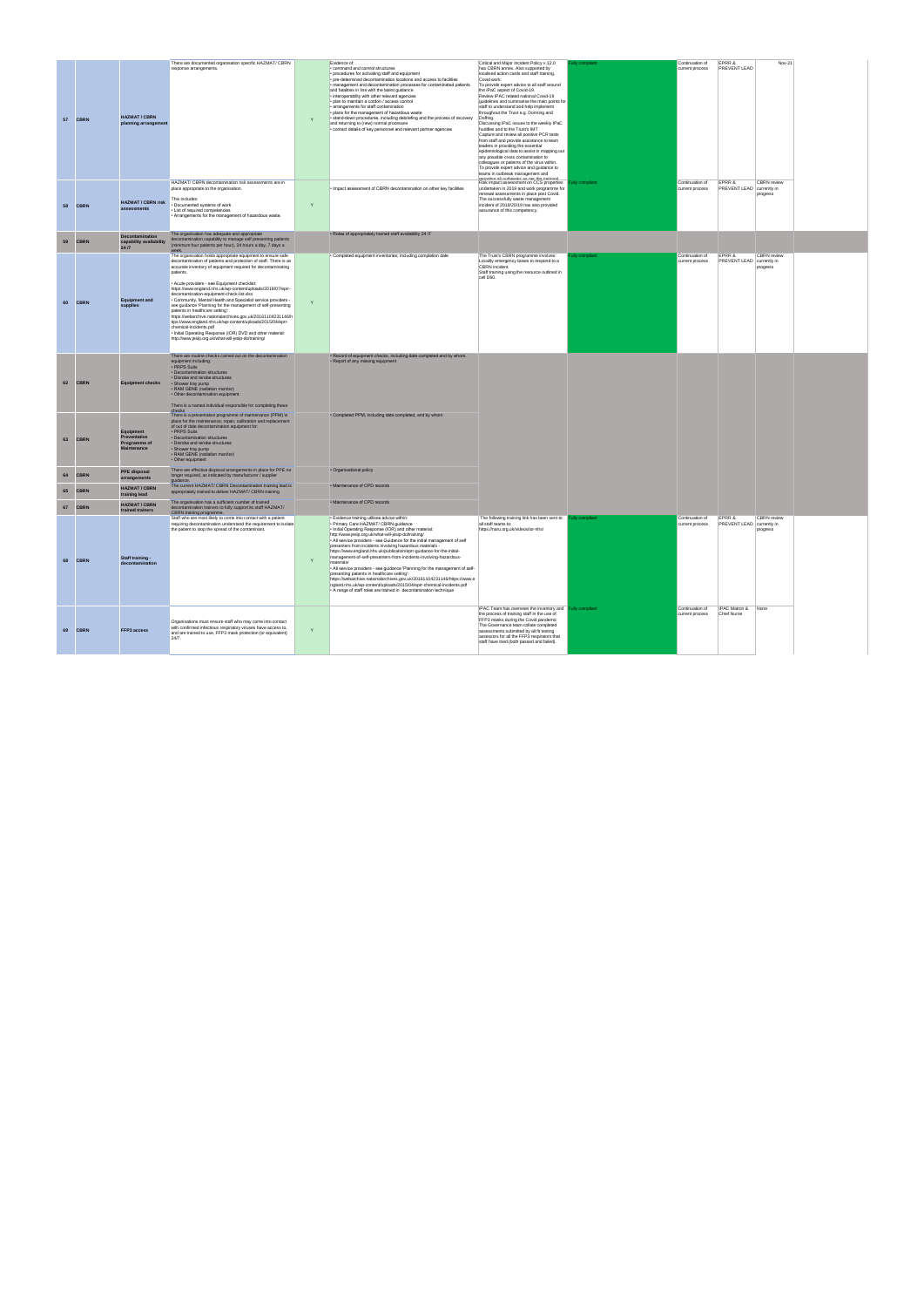|    |             |                                                                        | There are documented organisation specific HAZMAT/ CBRN                                                                                                                                                                                                                                                                                                                                                                                                                                                                                                                                                                                                                                                                                                                                                                   |   |                                                                                                                                                                                                                                                                                                                                                                                                                                                                                                                                                                                                                                                                                                                                                                                                                                                                    | Critical and Major Incident Policy v.12.0                                                                                                                                                                                                                                                                                                                                                                                                                                                                                                                                                                                                                                                                                                                                                                    |                |                                    | EPRR &                                                                |  |
|----|-------------|------------------------------------------------------------------------|---------------------------------------------------------------------------------------------------------------------------------------------------------------------------------------------------------------------------------------------------------------------------------------------------------------------------------------------------------------------------------------------------------------------------------------------------------------------------------------------------------------------------------------------------------------------------------------------------------------------------------------------------------------------------------------------------------------------------------------------------------------------------------------------------------------------------|---|--------------------------------------------------------------------------------------------------------------------------------------------------------------------------------------------------------------------------------------------------------------------------------------------------------------------------------------------------------------------------------------------------------------------------------------------------------------------------------------------------------------------------------------------------------------------------------------------------------------------------------------------------------------------------------------------------------------------------------------------------------------------------------------------------------------------------------------------------------------------|--------------------------------------------------------------------------------------------------------------------------------------------------------------------------------------------------------------------------------------------------------------------------------------------------------------------------------------------------------------------------------------------------------------------------------------------------------------------------------------------------------------------------------------------------------------------------------------------------------------------------------------------------------------------------------------------------------------------------------------------------------------------------------------------------------------|----------------|------------------------------------|-----------------------------------------------------------------------|--|
|    | 57 CBRN     | <b>HAZMAT / CBRN</b><br>planning arrangement                           | response arrangements.                                                                                                                                                                                                                                                                                                                                                                                                                                                                                                                                                                                                                                                                                                                                                                                                    | Y | Evidence of:<br>· command and control structures<br>· procedures for activating staff and equipment<br>· pre-determined decontamination locations and access to facilities<br>· management and decontamination processes for contaminated patients<br>and fatalities in line with the latest quidance<br>. interoperability with other relevant agencies<br>· plan to maintain a cordon / access control<br>· arrangements for staff contamination<br>· plans for the management of hazardous waste<br>· stand-down procedures, including debriefing and the process of recovery<br>and returning to (new) normal processes<br>· contact details of key personnel and relevant partner agencies                                                                                                                                                                    | has CBRN annex. Also supported by<br>localised action cards and staff training.<br>Covid work:<br>To provide expert advice to all staff around<br>the IPaC aspect of Covid-19.<br>Review IPAC related national Covid-19<br>guidelines and summarise the main points for<br>staff to understand and help implement<br>throughout the Trust e.g. Donning and<br>Doffing.<br>Discussing IPaC issues to the weekly IPaC<br>huddles and to the Trust's IMT<br>Capture and review all positive PCR tests<br>from staff and provide assistance to team<br>leaders in providing the essential<br>epidemiological data to assist in mapping out<br>any possible cross contamination to<br>colleagues or patients of the virus within.<br>To provide expert advice and quidance to<br>teams in outbreak management and | illy compliant | Continuation of<br>current process | <b>Nov-21</b><br>PREVENT LEAD                                         |  |
|    | 58 CBRN     | <b>HAZMAT / CBRN risk</b><br>assessments                               | HAZMAT/ CBRN decontamination risk assessments are in<br>place appropriate to the organisation.<br>This includes:<br>· Documented systems of work<br>• List of required competencies<br>· Arrangements for the management of hazardous waste.                                                                                                                                                                                                                                                                                                                                                                                                                                                                                                                                                                              | Y | . Impact assessment of CBRN decontamination on other key facilities                                                                                                                                                                                                                                                                                                                                                                                                                                                                                                                                                                                                                                                                                                                                                                                                | reporting all outbreaks as per the national<br>Risk impact assessment on CCS properties<br>undertaken in 2019 and work programme for<br>renewal assessments in place post Covid.<br>The successfully waste management<br>incident of 2018/20/19 has also provided<br>assurance of this competency.                                                                                                                                                                                                                                                                                                                                                                                                                                                                                                           | ully compliant | Continuation of<br>current process | EPRR &<br><b>CBRN</b> review<br>PREVENT LEAD currently in<br>progress |  |
| 59 | <b>CBRN</b> | <b>Decontamination</b><br>capability availability<br>24 /7             | The organisation has adequate and appropriate<br>decontamination capability to manage self presenting patients<br>(minimum four patients per hour), 24 hours a day, 7 days a                                                                                                                                                                                                                                                                                                                                                                                                                                                                                                                                                                                                                                              |   | . Rotas of appropriately trained staff availability 24 /7                                                                                                                                                                                                                                                                                                                                                                                                                                                                                                                                                                                                                                                                                                                                                                                                          |                                                                                                                                                                                                                                                                                                                                                                                                                                                                                                                                                                                                                                                                                                                                                                                                              |                |                                    |                                                                       |  |
| 60 | <b>CBRN</b> | <b>Equipment and</b><br>supplies                                       | The organisation holds appropriate equipment to ensure safe<br>decontamination of patients and protection of staff. There is an<br>accurate inventory of equipment required for decontaminating<br>patients.<br>• Acute providers - see Equipment checklist:<br>https://www.england.nhs.uk/wp-content/uploads/2018/07/eprr-<br>decontamination-equipment-check-list.xlsx<br>· Community, Mental Health and Specialist service providers -<br>see quidance 'Planning for the management of self-presenting<br>patients in healthcare setting:<br>https://webarchive.nationalarchives.gov.uk/20161104231146/h<br>ttps://www.england.nhs.uk/wp-content/uploads/2015/04/eprr-<br>chemical-incidents.pdf<br>· Initial Operating Response (IOR) DVD and other material:<br>http://www.jesip.org.uk/what-will-jesip-do/training/ | Y | · Completed equipment inventories; including completion date                                                                                                                                                                                                                                                                                                                                                                                                                                                                                                                                                                                                                                                                                                                                                                                                       | The Trust's CBRN programme involves:<br>Locality emergency boxes to respond to a<br>CBRN incident.<br>Staff training using the resource outlined in<br>cell D60.                                                                                                                                                                                                                                                                                                                                                                                                                                                                                                                                                                                                                                             | lly compliant  | Continuation of<br>current process | FPRR &<br>CBRN review<br>PREVENT LEAD currently in<br>progress        |  |
|    | 62 CBRN     | <b>Equipment checks</b>                                                | There are routine checks carried out on the decontamination<br>equipment including:<br>· PRPS Suits<br>• Decontamination structures<br>· Disrobe and rerobe structures<br>· Shower tray pump<br>• RAM GENE (radiation monitor)<br>· Other decontamination equipment.<br>There is a named individual responsible for completing these<br>chacks                                                                                                                                                                                                                                                                                                                                                                                                                                                                            |   | · Record of equipment checks, including date completed and by whom.<br>· Report of any missing equipment                                                                                                                                                                                                                                                                                                                                                                                                                                                                                                                                                                                                                                                                                                                                                           |                                                                                                                                                                                                                                                                                                                                                                                                                                                                                                                                                                                                                                                                                                                                                                                                              |                |                                    |                                                                       |  |
| 63 | <b>CBRN</b> | <b>Equipment</b><br>Preventative<br>Programme of<br><b>Maintenance</b> | There is a preventative programme of maintenance (PPM) in<br>place for the maintenance, repair, calibration and replacement<br>of out of date decontamination equipment for:<br>· PRPS Suits<br>· Decontamination structures<br>. Disrobe and rerobe structures<br>· Shower tray pump<br>· RAM GENE (radiation monitor)<br>• Other equipment                                                                                                                                                                                                                                                                                                                                                                                                                                                                              |   | • Completed PPM, including date completed, and by whom                                                                                                                                                                                                                                                                                                                                                                                                                                                                                                                                                                                                                                                                                                                                                                                                             |                                                                                                                                                                                                                                                                                                                                                                                                                                                                                                                                                                                                                                                                                                                                                                                                              |                |                                    |                                                                       |  |
| 64 | <b>CBRN</b> | <b>PPE</b> disposal<br>arrangements                                    | There are effective disposal arrangements in place for PPE no<br>longer required, as indicated by manufacturer / supplier<br>quidance.                                                                                                                                                                                                                                                                                                                                                                                                                                                                                                                                                                                                                                                                                    |   | · Organisational policy                                                                                                                                                                                                                                                                                                                                                                                                                                                                                                                                                                                                                                                                                                                                                                                                                                            |                                                                                                                                                                                                                                                                                                                                                                                                                                                                                                                                                                                                                                                                                                                                                                                                              |                |                                    |                                                                       |  |
|    | 65 CBRN     | <b>HAZMAT / CBRN</b><br>training lead                                  | The current HAZMAT/ CBRN Decontamination training lead is<br>appropriately trained to deliver HAZMAT/ CBRN training                                                                                                                                                                                                                                                                                                                                                                                                                                                                                                                                                                                                                                                                                                       |   | . Maintenance of CPD records                                                                                                                                                                                                                                                                                                                                                                                                                                                                                                                                                                                                                                                                                                                                                                                                                                       |                                                                                                                                                                                                                                                                                                                                                                                                                                                                                                                                                                                                                                                                                                                                                                                                              |                |                                    |                                                                       |  |
|    | 67 CBRN     | <b>HAZMAT / CBRN</b><br>trained trainers                               | The organisation has a sufficient number of trained<br>decontamination trainers to fully support its staff HAZMAT/<br>CBRN training programme.                                                                                                                                                                                                                                                                                                                                                                                                                                                                                                                                                                                                                                                                            |   | . Maintenance of CPD records                                                                                                                                                                                                                                                                                                                                                                                                                                                                                                                                                                                                                                                                                                                                                                                                                                       |                                                                                                                                                                                                                                                                                                                                                                                                                                                                                                                                                                                                                                                                                                                                                                                                              |                |                                    |                                                                       |  |
|    | 68 CBRN     | Staff training -<br>decontamination                                    | Staff who are most likely to come into contact with a patient<br>requiring decontamination understand the requirement to isolate<br>the patient to stop the spread of the contaminant.                                                                                                                                                                                                                                                                                                                                                                                                                                                                                                                                                                                                                                    | Y | . Evidence training utilises advice within:<br>· Primary Care HAZMAT/ CBRN guidance<br>. Initial Operating Response (IOR) and other material:<br>http://www.jesip.org.uk/what-will-jesip-do/training/<br>. All service providers - see Guidance for the initial management of self<br>presenters from incidents involving hazardous materials -<br>https://www.england.nhs.uk/publication/eprr-guidance-for-the-initial-<br>management-of-self-presenters-from-incidents-involving-hazardous-<br>materials/<br>. All service providers - see guidance 'Planning for the management of self-<br>presenting patients in healthcare setting':<br>https://webarchive.nationalarchives.gov.uk/20161104231146/https://www.e<br>ngland.nhs.uk/wp-content/uploads/2015/04/eprr-chemical-incidents.pdf<br>. A range of staff roles are trained in decontamination technique | The following training link has been sent to<br>all staff teams to:<br>https://naru.org.uk/videos/ior-nhs/                                                                                                                                                                                                                                                                                                                                                                                                                                                                                                                                                                                                                                                                                                   | ully compliant | Continuation of<br>current process | EPRR &<br><b>CBRN</b> review<br>PREVENT LEAD currently in<br>progress |  |
| 69 | <b>CBRN</b> | FFP3 access                                                            | Organisations must ensure staff who may come into contact<br>with confirmed infectious respiratory viruses have access to,<br>and are trained to use, FFP3 mask protection (or equivalent)<br>24/7.                                                                                                                                                                                                                                                                                                                                                                                                                                                                                                                                                                                                                       | Y |                                                                                                                                                                                                                                                                                                                                                                                                                                                                                                                                                                                                                                                                                                                                                                                                                                                                    | IPAC Team has overseen the inventory and Fully compliant<br>the process of training staff in the use of<br>FFP3 masks during the Covid pandemic<br>The Governance team collate completed<br>assessments submitted by all fit testing<br>assessors for all the FFP3 respirators that<br>staff have tried (both passed and failed).                                                                                                                                                                                                                                                                                                                                                                                                                                                                            |                | Continuation of<br>current process | IPAC Matron & None<br>Chief Nurse                                     |  |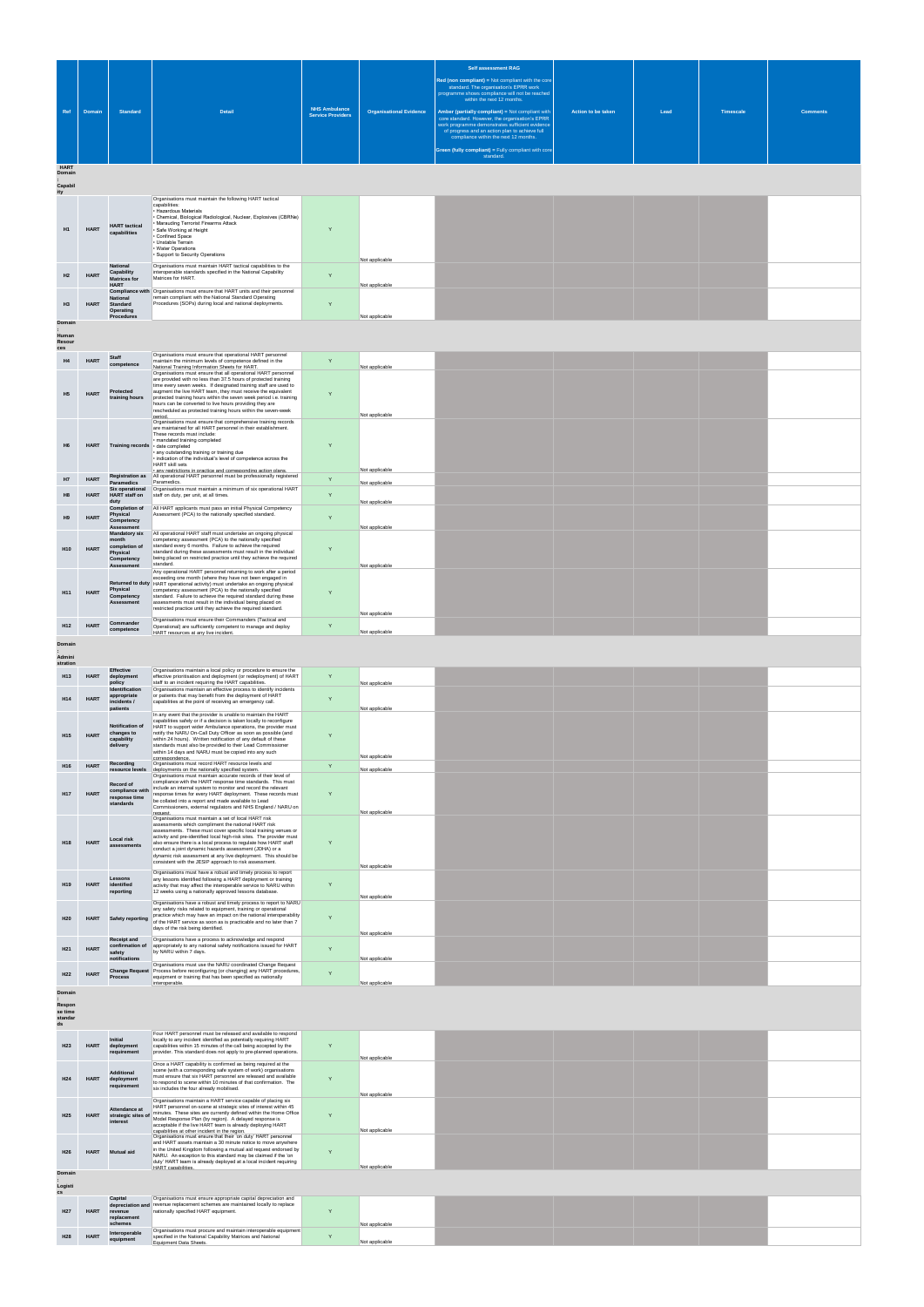|                                              |             |                                                                                             |                                                                                                                                                                                                                                                                                                                                                                                                                                                       |                          |                                  | <b>Self assessment RAG</b><br>$Red (non compliant) = Not compliant with the core$<br>standard. The organisation's EPRR work                                                                   |                    |      |           |                 |
|----------------------------------------------|-------------|---------------------------------------------------------------------------------------------|-------------------------------------------------------------------------------------------------------------------------------------------------------------------------------------------------------------------------------------------------------------------------------------------------------------------------------------------------------------------------------------------------------------------------------------------------------|--------------------------|----------------------------------|-----------------------------------------------------------------------------------------------------------------------------------------------------------------------------------------------|--------------------|------|-----------|-----------------|
| Ref                                          | Domain      | <b>Standard</b>                                                                             | <b>Detail</b>                                                                                                                                                                                                                                                                                                                                                                                                                                         | <b>NHS Ambulance</b>     | <b>Organisational Evidence</b>   | programme shows compliance will not be reached<br>within the next 12 months.<br>Amber (partially compliant) = Not compliant with                                                              | Action to be taken | Lead | Timescale | <b>Comments</b> |
|                                              |             |                                                                                             |                                                                                                                                                                                                                                                                                                                                                                                                                                                       | <b>Service Providers</b> |                                  | core standard. However, the organisation's EPRR<br>work programme demonstrates sufficient evidence<br>of progress and an action plan to achieve full<br>compliance within the next 12 months. |                    |      |           |                 |
| <b>HART</b>                                  |             |                                                                                             |                                                                                                                                                                                                                                                                                                                                                                                                                                                       |                          |                                  | Green (fully compliant) = Fully compliant with core<br>standard.                                                                                                                              |                    |      |           |                 |
| Domain<br>Capabil<br>ity                     |             |                                                                                             |                                                                                                                                                                                                                                                                                                                                                                                                                                                       |                          |                                  |                                                                                                                                                                                               |                    |      |           |                 |
|                                              |             |                                                                                             | Organisations must maintain the following HART tactical<br>capabilities:<br>· Hazardous Materials<br>· Chemical, Biological Radiological, Nuclear, Explosives (CBRNe)                                                                                                                                                                                                                                                                                 |                          |                                  |                                                                                                                                                                                               |                    |      |           |                 |
| H <sub>1</sub>                               | <b>HART</b> | <b>HART</b> tactical<br>capabilities                                                        | . Marauding Terrorist Firearms Attack<br>· Safe Working at Height<br>• Confined Space<br>· Unstable Terrain                                                                                                                                                                                                                                                                                                                                           | Y                        |                                  |                                                                                                                                                                                               |                    |      |           |                 |
|                                              |             | <b>National</b>                                                                             | • Water Operations<br>• Support to Security Operations<br>Organisations must maintain HART tactical capabilities to the                                                                                                                                                                                                                                                                                                                               |                          | Not applicable                   |                                                                                                                                                                                               |                    |      |           |                 |
| H2                                           | <b>HART</b> | Capability<br><b>Matrices for</b><br><b>HART</b>                                            | interoperable standards specified in the National Capability<br>Matrices for HART.<br>Compliance with Organisations must ensure that HART units and their personnel<br>remain compliant with the National Standard Operating                                                                                                                                                                                                                          | Y                        | Not applicable                   |                                                                                                                                                                                               |                    |      |           |                 |
| H3<br>Domain                                 | <b>HART</b> | <b>National</b><br><b>Standard</b><br>Operating<br><b>Procedures</b>                        | Procedures (SOPs) during local and national deployments.                                                                                                                                                                                                                                                                                                                                                                                              | $\mathsf Y$              | Not applicable                   |                                                                                                                                                                                               |                    |      |           |                 |
| Human<br>Resour<br>ces                       |             |                                                                                             |                                                                                                                                                                                                                                                                                                                                                                                                                                                       |                          |                                  |                                                                                                                                                                                               |                    |      |           |                 |
| H <sub>4</sub>                               | <b>HART</b> | <b>Staff</b><br>competence                                                                  | Organisations must ensure that operational HART personnel<br>maintain the minimum levels of competence defined in the<br>National Training Information Sheets for HART.<br>Organisations must ensure that all operational HART personnel                                                                                                                                                                                                              | Y                        | Not applicable                   |                                                                                                                                                                                               |                    |      |           |                 |
| <b>H5</b>                                    | <b>HART</b> | Protected<br>training hours                                                                 | are provided with no less than 37.5 hours of protected training<br>time every seven weeks. If designated training staff are used to<br>augment the live HART team, they must receive the equivalent<br>protected training hours within the seven week period i.e. training<br>hours can be converted to live hours providing they are<br>rescheduled as protected training hours within the seven-week<br>neriod.                                     | $\mathsf Y$              | Not applicable                   |                                                                                                                                                                                               |                    |      |           |                 |
| H <sub>6</sub>                               | <b>HART</b> | Training records · date completed                                                           | Organisations must ensure that comprehensive training records<br>are maintained for all HART personnel in their establishment.<br>These records must include:<br>· mandated training completed<br>· any outstanding training or training due                                                                                                                                                                                                          | Y                        |                                  |                                                                                                                                                                                               |                    |      |           |                 |
| <b>H7</b>                                    | <b>HART</b> | <b>Registration as</b><br><b>Paramedics</b>                                                 | · indication of the individual's level of competence across the<br><b>HART</b> skill sets<br>· any restrictions in practice and corresponding action plans.<br>All operational HART personnel must be professionally registered<br>Paramedics.                                                                                                                                                                                                        | Y                        | Not applicable                   |                                                                                                                                                                                               |                    |      |           |                 |
| H8                                           | <b>HART</b> | Six operational<br><b>HART</b> staff on<br>duty                                             | Organisations must maintain a minimum of six operational HART<br>staff on duty, per unit, at all times.                                                                                                                                                                                                                                                                                                                                               | Y                        | Not applicable<br>Not applicable |                                                                                                                                                                                               |                    |      |           |                 |
| H <sub>9</sub>                               | <b>HART</b> | <b>Completion of</b><br>Physical<br>Competency<br><b>Assessment</b><br><b>Mandatory six</b> | All HART applicants must pass an initial Physical Competency<br>Assessment (PCA) to the nationally specified standard.                                                                                                                                                                                                                                                                                                                                | Y                        | Not applicable                   |                                                                                                                                                                                               |                    |      |           |                 |
| H <sub>10</sub>                              | <b>HART</b> | month<br>completion of<br>Physical<br>Competency                                            | All operational HART staff must undertake an ongoing physical<br>competency assessment (PCA) to the nationally specified<br>standard every 6 months. Failure to achieve the required<br>standard during these assessments must result in the individual<br>being placed on restricted practice until they achieve the required                                                                                                                        | $\mathsf{Y}$             |                                  |                                                                                                                                                                                               |                    |      |           |                 |
| H <sub>11</sub>                              | <b>HART</b> | <b>Assessment</b><br>Physical<br>Competency<br><b>Assessment</b>                            | standard.<br>Any operational HART personnel returning to work after a period<br>exceeding one month (where they have not been engaged in<br>Returned to duty HART operational activity) must undertake an ongoing physical<br>competency assessment (PCA) to the nationally specified<br>standard. Failure to achieve the required standard during these<br>assessments must result in the individual being placed on                                 | Υ                        | Not applicable                   |                                                                                                                                                                                               |                    |      |           |                 |
| H <sub>12</sub>                              | <b>HART</b> | Commander                                                                                   | restricted practice until they achieve the required standard.<br>Organisations must ensure their Commanders (Tactical and<br>Operational) are sufficiently competent to manage and deploy                                                                                                                                                                                                                                                             | Y                        | Not applicable                   |                                                                                                                                                                                               |                    |      |           |                 |
| Domain                                       |             | competence                                                                                  | HART resources at any live incident.                                                                                                                                                                                                                                                                                                                                                                                                                  |                          | Not applicable                   |                                                                                                                                                                                               |                    |      |           |                 |
| Admini<br>stration<br>H <sub>13</sub>        | <b>HART</b> | <b>Effective</b><br>deployment                                                              | Organisations maintain a local policy or procedure to ensure the<br>effective prioritisation and deployment (or redeployment) of HART                                                                                                                                                                                                                                                                                                                 | $\mathsf Y$              |                                  |                                                                                                                                                                                               |                    |      |           |                 |
| H14                                          | <b>HART</b> | policy<br>Identification<br>appropriate<br>incidents /                                      | staff to an incident requiring the HART capabilities.<br>Organisations maintain an effective process to identify incidents<br>or patients that may benefit from the deployment of HART<br>capabilities at the point of receiving an emergency call.                                                                                                                                                                                                   | Υ                        | Not applicable                   |                                                                                                                                                                                               |                    |      |           |                 |
| H <sub>15</sub>                              | <b>HART</b> | patients<br><b>Notification of</b><br>changes to<br>capability<br>delivery                  | In any event that the provider is unable to maintain the HART<br>capabilities safely or if a decision is taken locally to reconfigure<br>HART to support wider Ambulance operations, the provider must<br>notify the NARU On-Call Duty Officer as soon as possible (and<br>within 24 hours). Written notification of any default of these<br>standards must also be provided to their Lead Commissioner                                               | $\mathsf Y$              | Not applicable                   |                                                                                                                                                                                               |                    |      |           |                 |
| H <sub>16</sub>                              | <b>HART</b> | Recording<br>resource levels                                                                | within 14 days and NARU must be copied into any such<br>correspondence.<br>Organisations must record HART resource levels and<br>deployments on the nationally specified system.                                                                                                                                                                                                                                                                      | $\mathsf Y$              | Not applicable<br>Not applicable |                                                                                                                                                                                               |                    |      |           |                 |
| H <sub>17</sub>                              | <b>HART</b> | Record of<br>compliance with<br>response time<br>standards                                  | Organisations must maintain accurate records of their level of<br>compliance with the HART response time standards. This must<br>include an internal system to monitor and record the relevant<br>response times for every HART deployment. These records must<br>be collated into a report and made available to Lead<br>Commissioners, external regulators and NHS England / NARU on<br>request.                                                    | Y                        | Not applicable                   |                                                                                                                                                                                               |                    |      |           |                 |
| H <sub>18</sub>                              | <b>HART</b> | <b>Local risk</b><br>assessments                                                            | Organisations must maintain a set of local HART risk<br>assessments which compliment the national HART risk<br>assessments. These must cover specific local training venues or<br>activity and pre-identified local high-risk sites. The provider must<br>also ensure there is a local process to regulate how HART staff<br>conduct a joint dynamic hazards assessment (JDHA) or a<br>dynamic risk assessment at any live deployment. This should be | Υ                        |                                  |                                                                                                                                                                                               |                    |      |           |                 |
| H <sub>19</sub>                              | <b>HART</b> | Lessons<br>identified<br>reporting                                                          | consistent with the JESIP approach to risk assessment.<br>Organisations must have a robust and timely process to report<br>any lessons identified following a HART deployment or training<br>activity that may affect the interoperable service to NARU within<br>12 weeks using a nationally approved lessons database.                                                                                                                              | Y                        | Not applicable                   |                                                                                                                                                                                               |                    |      |           |                 |
| H <sub>20</sub>                              | <b>HART</b> | <b>Safety reporting</b>                                                                     | Organisations have a robust and timely process to report to NARU<br>any safety risks related to equipment, training or operational<br>practice which may have an impact on the national interoperability<br>of the HART service as soon as is practicable and no later than 7<br>days of the risk being identified.                                                                                                                                   | Υ                        | Not applicable                   |                                                                                                                                                                                               |                    |      |           |                 |
| H <sub>21</sub>                              | <b>HART</b> | <b>Receipt and</b><br>confirmation of<br>safety                                             | Organisations have a process to acknowledge and respond<br>appropriately to any national safety notifications issued for HART<br>by NARU within 7 days.                                                                                                                                                                                                                                                                                               | Υ                        | Not applicable                   |                                                                                                                                                                                               |                    |      |           |                 |
| H <sub>22</sub>                              | <b>HART</b> | notifications<br><b>Process</b>                                                             | Organisations must use the NARU coordinated Change Request<br>Change Request Process before reconfiguring (or changing) any HART procedures,<br>equipment or training that has been specified as nationally                                                                                                                                                                                                                                           | Υ                        | Not applicable<br>Not applicable |                                                                                                                                                                                               |                    |      |           |                 |
| Domain<br>Respon<br>se time<br>standar<br>ds |             |                                                                                             | interoperable.                                                                                                                                                                                                                                                                                                                                                                                                                                        |                          |                                  |                                                                                                                                                                                               |                    |      |           |                 |
| H <sub>23</sub>                              | <b>HART</b> | Initial<br>deployment<br>requirement                                                        | Four HART personnel must be released and available to respond<br>locally to any incident identified as potentially requiring HART<br>capabilities within 15 minutes of the call being accepted by the<br>provider. This standard does not apply to pre-planned operations.                                                                                                                                                                            | Y                        |                                  |                                                                                                                                                                                               |                    |      |           |                 |
| H <sub>24</sub>                              | <b>HART</b> | <b>Additional</b><br>deployment<br>requirement                                              | Once a HART capability is confirmed as being required at the<br>scene (with a corresponding safe system of work) organisations<br>must ensure that six HART personnel are released and available<br>to respond to scene within 10 minutes of that confirmation. The                                                                                                                                                                                   | Y                        | Not applicable                   |                                                                                                                                                                                               |                    |      |           |                 |
| H <sub>25</sub>                              | <b>HART</b> | Attendance at<br>strategic sites of<br>interest                                             | six includes the four already mobilised.<br>Organisations maintain a HART service capable of placing six<br>HART personnel on-scene at strategic sites of interest within 45<br>minutes. These sites are currently defined within the Home Office<br>Model Response Plan (by region). A delayed response is                                                                                                                                           | Y                        | Not applicable                   |                                                                                                                                                                                               |                    |      |           |                 |
| H <sub>26</sub>                              | <b>HART</b> | <b>Mutual aid</b>                                                                           | acceptable if the live HART team is already deploying HART<br>capabilities at other incident in the region.<br>Organisations must ensure that their 'on duty' HART personnel<br>and HART assets maintain a 30 minute notice to move anywhere<br>in the United Kingdom following a mutual aid request endorsed by                                                                                                                                      | Υ                        | Not applicable                   |                                                                                                                                                                                               |                    |      |           |                 |
| Domain                                       |             |                                                                                             | NARU. An exception to this standard may be claimed if the 'on<br>duty' HART team is already deployed at a local incident requiring<br>HART capabilities.                                                                                                                                                                                                                                                                                              |                          | Not applicable                   |                                                                                                                                                                                               |                    |      |           |                 |
| Logisti<br>cs                                |             | Capital                                                                                     | Organisations must ensure appropriate capital depreciation and<br>depreciation and revenue replacement schemes are maintained locally to replace                                                                                                                                                                                                                                                                                                      |                          |                                  |                                                                                                                                                                                               |                    |      |           |                 |
| H <sub>27</sub>                              | <b>HART</b> | revenue<br>replacement<br>schemes                                                           | nationally specified HART equipment.                                                                                                                                                                                                                                                                                                                                                                                                                  | Υ                        | Not applicable                   |                                                                                                                                                                                               |                    |      |           |                 |
| H <sub>28</sub>                              | <b>HART</b> | Interoperable<br>equipment                                                                  | Organisations must procure and maintain interoperable equipment<br>specified in the National Capability Matrices and National<br>Equipment Data Sheets.                                                                                                                                                                                                                                                                                               | $\mathsf Y$              | Not applicable                   |                                                                                                                                                                                               |                    |      |           |                 |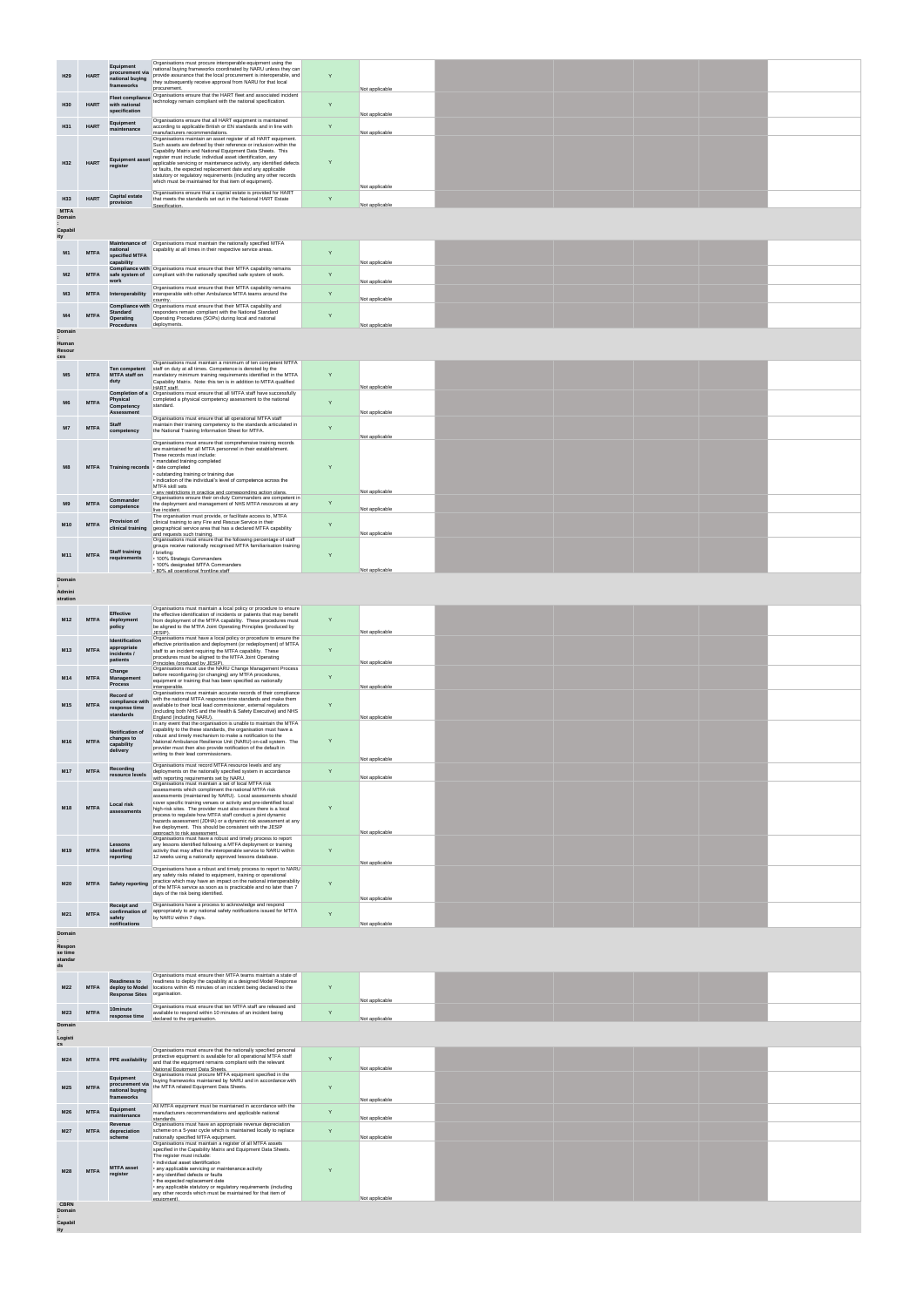|                              |             | Equipment                                        | Organisations must procure interoperable equipment using the                                                                                                                                              |              |                |  |
|------------------------------|-------------|--------------------------------------------------|-----------------------------------------------------------------------------------------------------------------------------------------------------------------------------------------------------------|--------------|----------------|--|
| H <sub>29</sub>              | <b>HART</b> | procurement via<br>national buying<br>frameworks | national buying frameworks coordinated by NARU unless they can<br>provide assurance that the local procurement is interoperable, and<br>they subsequently receive approval from NARU for that local       | Y            |                |  |
|                              |             | <b>Fleet compliance</b>                          | procurement.<br>Organisations ensure that the HART fleet and associated incident<br>technology remain compliant with the national specification.                                                          |              | Not applicable |  |
| H30                          | <b>HART</b> | with national<br>specification                   |                                                                                                                                                                                                           | Y            | Not applicable |  |
| H31                          | <b>HART</b> | Equipment<br>maintenance                         | Organisations ensure that all HART equipment is maintained<br>according to applicable British or EN standards and in line with<br>manufacturers recommendations.                                          | Y            | Not applicable |  |
|                              |             |                                                  | Organisations maintain an asset register of all HART equipment.<br>Such assets are defined by their reference or inclusion within the<br>Capability Matrix and National Equipment Data Sheets. This       |              |                |  |
| H32                          | <b>HART</b> | register                                         | Equipment asset register must include, individual asset identification, any<br>applicable servicing or maintenance activity, any identified defects                                                       | Y            |                |  |
|                              |             |                                                  | or faults, the expected replacement date and any applicable<br>statutory or regulatory requirements (including any other records<br>which must be maintained for that item of equipment).                 |              |                |  |
| H33                          | <b>HART</b> | <b>Capital estate</b>                            | Organisations ensure that a capital estate is provided for HART<br>that meets the standards set out in the National HART Estate                                                                           | Y            | Not applicable |  |
| <b>MTFA</b><br><b>Domain</b> |             | provision                                        | Specification                                                                                                                                                                                             |              | Not applicable |  |
| Capabil                      |             |                                                  |                                                                                                                                                                                                           |              |                |  |
| ity                          |             | national                                         | Maintenance of Organisations must maintain the nationally specified MTFA<br>capability at all times in their respective service areas.                                                                    |              |                |  |
| M1                           | <b>MTFA</b> | specified MTFA<br>capability                     | Compliance with Organisations must ensure that their MTFA capability remains                                                                                                                              | Y            | Not applicable |  |
| M <sub>2</sub>               | <b>MTFA</b> | safe system of<br>work                           | compliant with the nationally specified safe system of work.                                                                                                                                              | $\mathsf{Y}$ | Not applicable |  |
| M <sub>3</sub>               | <b>MTFA</b> | Interoperability                                 | Organisations must ensure that their MTFA capability remains<br>interoperable with other Ambulance MTFA teams around the<br>country.                                                                      | Y            | Not applicable |  |
| M4                           | <b>MTFA</b> | <b>Standard</b><br>Operating                     | Compliance with Organisations must ensure that their MTFA capability and<br>responders remain compliant with the National Standard<br>Operating Procedures (SOPs) during local and national               | Y            |                |  |
| <b>Domain</b>                |             | Procedures                                       | deployments.                                                                                                                                                                                              |              | Not applicable |  |
| Human<br><b>Resour</b>       |             |                                                  |                                                                                                                                                                                                           |              |                |  |
| ces                          |             | Ten competent                                    | Organisations must maintain a minimum of ten competent MTFA<br>staff on duty at all times. Competence is denoted by the                                                                                   |              |                |  |
| M <sub>5</sub>               | <b>MTFA</b> | <b>MTFA staff on</b><br>duty                     | mandatory minimum training requirements identified in the MTFA<br>Capability Matrix. Note: this ten is in addition to MTFA qualified<br>HART staff.                                                       | Y            | Not applicable |  |
| M <sub>6</sub>               | <b>MTFA</b> | Physical                                         | <b>Completion of a</b> Organisations must ensure that all MTFA staff have successfully<br>completed a physical competency assessment to the national<br>standard.                                         | Y            |                |  |
|                              |             | Competency<br>Assessment                         | Organisations must ensure that all operational MTFA staff                                                                                                                                                 |              | Not applicable |  |
| M7                           | <b>MTFA</b> | <b>Staff</b><br>competency                       | maintain their training competency to the standards articulated in<br>the National Training Information Sheet for MTFA.                                                                                   | $\mathsf{Y}$ | Not applicable |  |
|                              |             |                                                  | Organisations must ensure that comprehensive training records<br>are maintained for all MTFA personnel in their establishment.<br>These records must include:                                             |              |                |  |
| M8                           | <b>MTFA</b> | Training records · date completed                | · mandated training completed                                                                                                                                                                             | Y            |                |  |
|                              |             |                                                  | · outstanding training or training due<br>· indication of the individual's level of competence across the<br>MTFA skill sets                                                                              |              |                |  |
| M9                           | <b>MTFA</b> | Commander<br>competence                          | · any restrictions in practice and corresponding action plans.<br>Organisations ensure their on-duty Commanders are competent in<br>the deployment and management of NHS MTFA resources at any            | Y            | Not applicable |  |
| M10                          | <b>MTFA</b> | <b>Provision of</b>                              | live incident.<br>The organisation must provide, or facilitate access to, MTFA<br>clinical training to any Fire and Rescue Service in their                                                               | Y            | Not applicable |  |
|                              |             | clinical training                                | geographical service area that has a declared MTFA capability<br>and requests such training.<br>Organisations must ensure that the following percentage of staff                                          |              | Not applicable |  |
| M11                          | <b>MTFA</b> | <b>Staff training</b><br>requirements            | groups receive nationally recognised MTFA familiarisation training<br>/ briefing:<br>• 100% Strategic Commanders                                                                                          | Y            |                |  |
|                              |             |                                                  | · 100% designated MTFA Commanders<br>· 80% all operational frontline staff                                                                                                                                |              | Not applicable |  |
| <b>Domain</b><br>Admini      |             |                                                  |                                                                                                                                                                                                           |              |                |  |
| stration                     |             |                                                  | Organisations must maintain a local policy or procedure to ensure                                                                                                                                         |              |                |  |
| M12                          | <b>MTFA</b> | Effective<br>deployment<br>policy                | the effective identification of incidents or patients that may benefit<br>from deployment of the MTFA capability. These procedures must<br>be aligned to the MTFA Joint Operating Principles (produced by | Y            |                |  |
|                              |             | Identification                                   | JESIP).<br>Organisations must have a local policy or procedure to ensure the<br>effective prioritisation and deployment (or redeployment) of MTFA                                                         |              | Not applicable |  |
| M13                          | <b>MTFA</b> | appropriate<br>incidents /<br>patients           | staff to an incident requiring the MTFA capability. These<br>procedures must be aligned to the MTFA Joint Operating                                                                                       | Y            |                |  |
| M14                          | <b>MTFA</b> | Change<br>Management                             | Principles (produced by JESIP).<br>Organisations must use the NARU Change Management Process<br>before reconfiguring (or changing) any MTFA procedures,                                                   | Y            | Not applicable |  |
|                              |             | <b>Process</b><br>Record of                      | equipment or training that has been specified as nationally<br>interoperable.<br>Organisations must maintain accurate records of their compliance                                                         |              | Not applicable |  |
| M <sub>15</sub>              | <b>MTFA</b> | compliance with<br>response time<br>standards    | with the national MTFA response time standards and make them<br>available to their local lead commissioner, external regulators<br>(including both NHS and the Health & Safety Executive) and NHS         | $\mathsf{Y}$ |                |  |
|                              |             | <b>Notification of</b>                           | England (including NARU).<br>In any event that the organisation is unable to maintain the MTFA<br>capability to the these standards, the organisation must have a                                         |              | Not applicable |  |
| M <sub>16</sub>              | <b>MTFA</b> | changes to<br>capability                         | robust and timely mechanism to make a notification to the<br>National Ambulance Resilience Unit (NARU) on-call system. The<br>provider must then also provide notification of the default in              | Y            |                |  |
|                              |             | delivery                                         | writing to their lead commissioners.<br>Organisations must record MTFA resource levels and any                                                                                                            |              | Not applicable |  |
| M17                          | <b>MTFA</b> | Recording<br>resource levels                     | deployments on the nationally specified system in accordance<br>with reporting requirements set by NARU.<br>Organisations must maintain a set of local MTFA risk                                          | Y            | Not applicable |  |
|                              |             |                                                  | assessments which compliment the national MTFA risk<br>assessments (maintained by NARU). Local assessments should                                                                                         |              |                |  |
| M <sub>18</sub>              | <b>MTFA</b> | Local risk<br>assessments                        | cover specific training venues or activity and pre-identified local<br>high-risk sites. The provider must also ensure there is a local<br>process to regulate how MTFA staff conduct a joint dynamic      | Y            |                |  |
|                              |             |                                                  | hazards assessment (JDHA) or a dynamic risk assessment at any<br>live deployment. This should be consistent with the JESIP<br>annmach to risk assessment.                                                 |              | Not applicable |  |
| M19                          | <b>MTFA</b> | Lessons<br>identified                            | Organisations must have a robust and timely process to report<br>any lessons identified following a MTFA deployment or training<br>activity that may affect the interoperable service to NARU within      | Y            |                |  |
|                              |             | reporting                                        | 12 weeks using a nationally approved lessons database.<br>Organisations have a robust and timely process to report to NARU                                                                                |              | Not applicable |  |
| M20                          | <b>MTFA</b> | <b>Safety reporting</b>                          | any safety risks related to equipment, training or operational<br>practice which may have an impact on the national interoperability<br>of the MTFA service as soon as is practicable and no later than 7 | Y            |                |  |
|                              |             | <b>Receipt and</b>                               | days of the risk being identified.<br>Organisations have a process to acknowledge and respond                                                                                                             |              | Not applicable |  |
| M21                          | <b>MTFA</b> | confirmation of<br>safety                        | appropriately to any national safety notifications issued for MTFA<br>by NARU within 7 days.                                                                                                              | Y            |                |  |
| Domain                       |             | notifications                                    |                                                                                                                                                                                                           |              | Not applicable |  |
| <b>Respon</b><br>se time     |             |                                                  |                                                                                                                                                                                                           |              |                |  |
| standar<br>ds                |             |                                                  | Organisations must ensure their MTFA teams maintain a state of                                                                                                                                            |              |                |  |
| M22                          | <b>MTFA</b> | <b>Readiness to</b>                              | readiness to deploy the capability at a designed Model Response<br>deploy to Model   locations within 45 minutes of an incident being declared to the                                                     | $\mathsf{Y}$ |                |  |
|                              |             | Response Sites organisation.                     | Organisations must ensure that ten MTFA staff are released and                                                                                                                                            |              | Not applicable |  |
| M23<br><b>Domain</b>         | <b>MTFA</b> | 10minute<br>response time                        | available to respond within 10 minutes of an incident being<br>declared to the organisation.                                                                                                              | Y            | Not applicable |  |
| cs                           |             |                                                  |                                                                                                                                                                                                           |              |                |  |
| M24                          | <b>MTFA</b> | <b>PPE</b> availability                          | Organisations must ensure that the nationally specified personal<br>protective equipment is available for all operational MTFA staff                                                                      | $\mathsf Y$  |                |  |
|                              |             | Equipment                                        | and that the equipment remains compliant with the relevant<br>National Equipment Data Sheets.<br>Organisations must procure MTFA equipment specified in the                                               |              | Not applicable |  |
| M25                          | <b>MTFA</b> | procurement via<br>national buying               | buying frameworks maintained by NARU and in accordance with<br>the MTFA related Equipment Data Sheets.                                                                                                    | $\mathsf{Y}$ |                |  |
| M26                          | <b>MTFA</b> | frameworks<br>Equipment                          | All MTFA equipment must be maintained in accordance with the<br>manufacturers recommendations and applicable national                                                                                     | Y            | Not applicable |  |
| M27                          | <b>MTFA</b> | maintenance<br>Revenue<br>depreciation           | standards.<br>Organisations must have an appropriate revenue depreciation<br>scheme on a 5-year cycle which is maintained locally to replace                                                              | Y            | Not applicable |  |
|                              |             | scheme                                           | nationally specified MTFA equipment.<br>Organisations must maintain a register of all MTFA assets                                                                                                         |              | Not applicable |  |
|                              |             |                                                  | specified in the Capability Matrix and Equipment Data Sheets.<br>The register must include:<br>· individual asset identification                                                                          |              |                |  |
| M28                          | <b>MTFA</b> | <b>MTFA</b> asset<br>register                    | · any applicable servicing or maintenance activity<br>· any identified defects or faults<br>• the expected replacement date                                                                               | $\mathsf{Y}$ |                |  |
|                              |             |                                                  | · any applicable statutory or regulatory requirements (including<br>any other records which must be maintained for that item of<br>equipment).                                                            |              | Not applicable |  |
| <b>CBRN</b><br>Domain        |             |                                                  |                                                                                                                                                                                                           |              |                |  |
| Capabil                      |             |                                                  |                                                                                                                                                                                                           |              |                |  |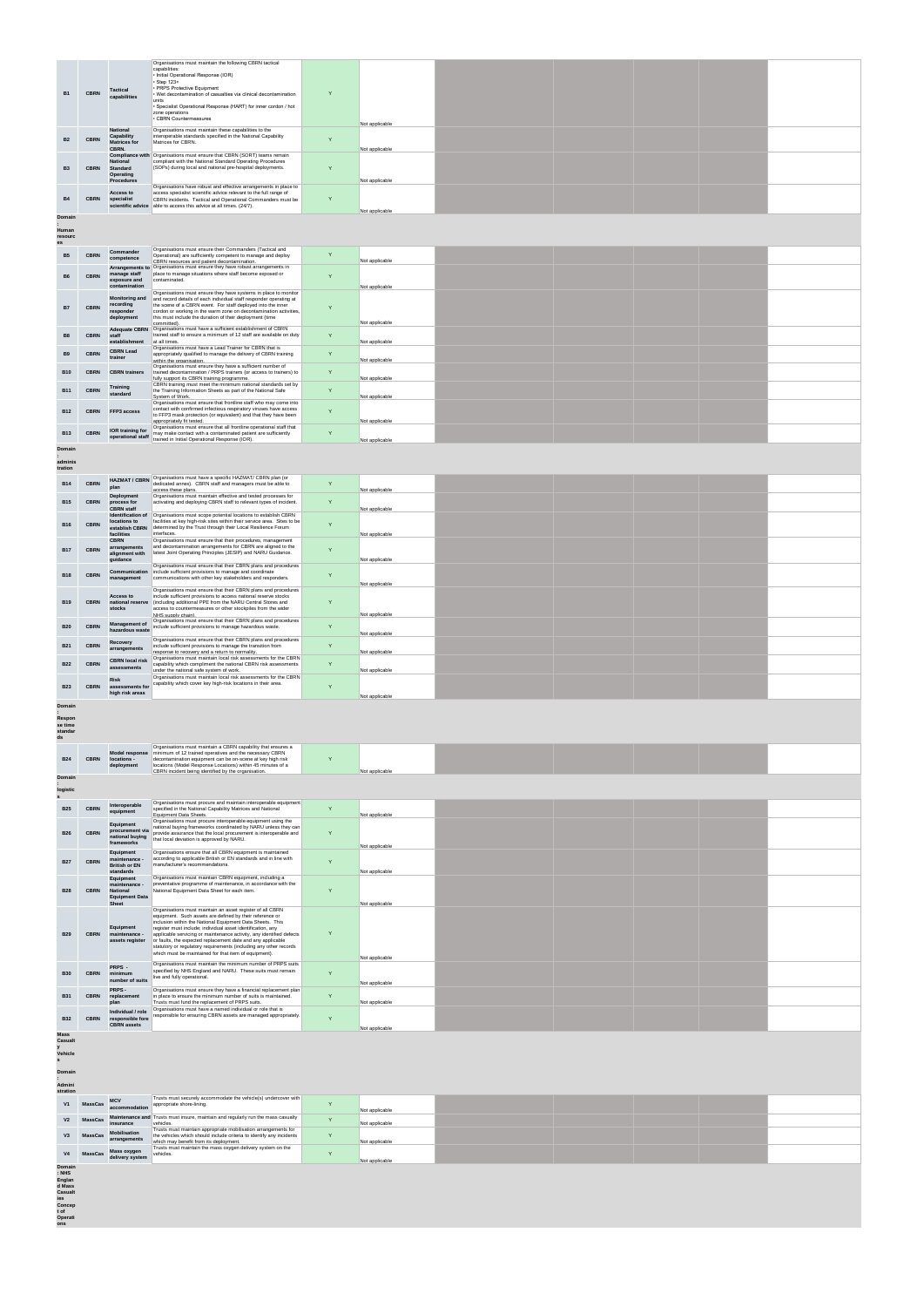|                          |             |                                                          | Organisations must maintain the following CBRN tactical<br>capabilities:                                                                                                                            |   |                |  |  |
|--------------------------|-------------|----------------------------------------------------------|-----------------------------------------------------------------------------------------------------------------------------------------------------------------------------------------------------|---|----------------|--|--|
|                          |             |                                                          | · Initial Operational Response (IOR)<br>· Step 123+                                                                                                                                                 |   |                |  |  |
| <b>B1</b>                | <b>CBRN</b> | <b>Tactical</b><br>capabilities                          | · PRPS Protective Equipment<br>• Wet decontamination of casualties via clinical decontamination                                                                                                     | Y |                |  |  |
|                          |             |                                                          | units<br>· Specialist Operational Response (HART) for inner cordon / hot                                                                                                                            |   |                |  |  |
|                          |             |                                                          | zone operations<br>• CBRN Countermeasures                                                                                                                                                           |   |                |  |  |
|                          |             | <b>National</b>                                          | Organisations must maintain these capabilities to the                                                                                                                                               |   | Not applicable |  |  |
| <b>B2</b>                | <b>CBRN</b> | Capability<br><b>Matrices for</b><br>CBRN.               | interoperable standards specified in the National Capability<br>Matrices for CBRN.                                                                                                                  | Y | Not applicable |  |  |
|                          |             | <b>National</b>                                          | Compliance with Organisations must ensure that CBRN (SORT) teams remain<br>compliant with the National Standard Operating Procedures                                                                |   |                |  |  |
| <b>B3</b>                | <b>CBRN</b> | <b>Standard</b><br>Operating                             | (SOPs) during local and national pre-hospital deployments.                                                                                                                                          | Y |                |  |  |
|                          |             | <b>Procedures</b>                                        | Organisations have robust and effective arrangements in place to                                                                                                                                    |   | Not applicable |  |  |
| <b>B4</b>                | <b>CBRN</b> | Access to<br>specialist                                  | access specialist scientific advice relevant to the full range of<br>CBRN incidents. Tactical and Operational Commanders must be                                                                    | Υ |                |  |  |
|                          |             |                                                          | scientific advice able to access this advice at all times. (24/7).                                                                                                                                  |   | Not applicable |  |  |
| Domain                   |             |                                                          |                                                                                                                                                                                                     |   |                |  |  |
| Human<br>resourc<br>es   |             |                                                          |                                                                                                                                                                                                     |   |                |  |  |
| <b>B5</b>                | <b>CBRN</b> | Commander                                                | Organisations must ensure their Commanders (Tactical and<br>Operational) are sufficiently competent to manage and deploy                                                                            | Υ |                |  |  |
|                          |             | competence                                               | CBRN resources and patient decontamination.<br>Arrangements to Organisations must ensure they have robust arrangements in                                                                           |   | Not applicable |  |  |
| <b>B6</b>                | <b>CBRN</b> | manage staff<br>exposure and                             | place to manage situations where staff become exposed or<br>contaminated.                                                                                                                           | Y |                |  |  |
|                          |             | contamination                                            | Organisations must ensure they have systems in place to monitor                                                                                                                                     |   | Not applicable |  |  |
| <b>B7</b>                | <b>CBRN</b> | <b>Monitoring and</b><br>recording                       | and record details of each individual staff responder operating at<br>the scene of a CBRN event. For staff deployed into the inner                                                                  | Υ |                |  |  |
|                          |             | responder<br>deployment                                  | cordon or working in the warm zone on decontamination activities,<br>this must include the duration of their deployment (time<br>committed).                                                        |   | Not applicable |  |  |
| <b>B8</b>                | <b>CBRN</b> | staff                                                    | Adequate CBRN Organisations must have a sufficient establishment of CBRN<br>trained staff to ensure a minimum of 12 staff are available on duty                                                     | Υ |                |  |  |
|                          |             | establishment<br><b>CBRN Lead</b>                        | at all times.<br>Organisations must have a Lead Trainer for CBRN that is                                                                                                                            |   | Not applicable |  |  |
| <b>B9</b>                | <b>CBRN</b> | trainer                                                  | appropriately qualified to manage the delivery of CBRN training<br>within the organisation.                                                                                                         | Υ | Not applicable |  |  |
| <b>B10</b>               | <b>CBRN</b> | <b>CBRN</b> trainers                                     | Organisations must ensure they have a sufficient number of<br>trained decontamination / PRPS trainers (or access to trainers) to<br>fully support its CBRN training programme.                      | Y | Not applicable |  |  |
| <b>B11</b>               | <b>CBRN</b> | <b>Training</b>                                          | CBRN training must meet the minimum national standards set by<br>the Training Information Sheets as part of the National Safe                                                                       | Y |                |  |  |
|                          |             | standard                                                 | Svstem of Work.<br>Organisations must ensure that frontline staff who may come into                                                                                                                 |   | Not applicable |  |  |
| <b>B12</b>               | <b>CBRN</b> | FFP3 access                                              | contact with confirmed infectious respiratory viruses have access<br>to FFP3 mask protection (or equivalent) and that they have been                                                                | Y | Not applicable |  |  |
| <b>B13</b>               | <b>CBRN</b> | IOR training for                                         | appropriately fit tested.<br>Organisations must ensure that all frontline operational staff that<br>may make contact with a contaminated patient are sufficiently                                   | Y |                |  |  |
|                          |             | operational staff                                        | trained in Initial Operational Response (IOR).                                                                                                                                                      |   | Not applicable |  |  |
| Domain<br>adminis        |             |                                                          |                                                                                                                                                                                                     |   |                |  |  |
| tration                  |             |                                                          |                                                                                                                                                                                                     |   |                |  |  |
| <b>B14</b>               | <b>CBRN</b> | plan                                                     | HAZMAT / CBRN Organisations must have a specific HAZMAT/ CBRN plan (or<br>nlan dedicated annex). CBRN staff and managers must be able to                                                            | Υ | Not applicable |  |  |
| <b>B15</b>               | <b>CBRN</b> | <b>Deployment</b><br>process for                         | access these plans.<br>Organisations must maintain effective and tested processes for<br>activating and deploying CBRN staff to relevant types of incident.                                         | Υ |                |  |  |
|                          |             | <b>CBRN</b> staff<br><b>Identification of</b>            | Organisations must scope potential locations to establish CBRN                                                                                                                                      |   | Not applicable |  |  |
| <b>B16</b>               | <b>CBRN</b> | locations to<br>establish CBRN                           | facilities at key high-risk sites within their service area. Sites to be<br>determined by the Trust through their Local Resilience Forum                                                            | Y |                |  |  |
|                          |             | facilities<br><b>CBRN</b>                                | interfaces.<br>Organisations must ensure that their procedures, management                                                                                                                          |   | Not applicable |  |  |
| <b>B17</b>               | <b>CBRN</b> | arrangements<br>alignment with                           | and decontamination arrangements for CBRN are aligned to the<br>latest Joint Operating Principles (JESIP) and NARU Guidance.                                                                        | Υ |                |  |  |
|                          |             | guidance                                                 | Organisations must ensure that their CBRN plans and procedures<br>Communication include sufficient provisions to manage and coordinate                                                              |   | Not applicable |  |  |
| <b>B18</b>               | <b>CBRN</b> | management                                               | communications with other key stakeholders and responders.                                                                                                                                          | Υ | Not applicable |  |  |
|                          |             | Access to                                                | Organisations must ensure that their CBRN plans and procedures<br>include sufficient provisions to access national reserve stocks                                                                   |   |                |  |  |
| <b>B19</b>               | <b>CBRN</b> | national reserve<br>stocks                               | (including additional PPE from the NARU Central Stores and<br>access to countermeasures or other stockpiles from the wider<br>NHS supply chain).                                                    | Υ | Not applicable |  |  |
| <b>B20</b>               | <b>CBRN</b> | <b>Management of</b>                                     | Organisations must ensure that their CBRN plans and procedures<br>include sufficient provisions to manage hazardous waste.                                                                          | Y |                |  |  |
|                          |             | hazardous waste                                          | Organisations must ensure that their CBRN plans and procedures                                                                                                                                      |   | Not applicable |  |  |
| <b>B21</b>               | <b>CBRN</b> | Recovery<br>arrangements                                 | include sufficient provisions to manage the transition from<br>response to recovery and a return to normality.                                                                                      | Y | Not applicable |  |  |
| <b>B22</b>               | <b>CBRN</b> | <b>CBRN local risk</b><br>assessments                    | Organisations must maintain local risk assessments for the CBRN<br>capability which compliment the national CBRN risk assessments                                                                   | Y |                |  |  |
|                          |             | <b>Risk</b>                                              | under the national safe system of work.<br>Organisations must maintain local risk assessments for the CBRN                                                                                          |   | Not applicable |  |  |
| <b>B23</b>               | <b>CBRN</b> | assessments for<br>high risk areas                       | capability which cover key high-risk locations in their area.                                                                                                                                       | Y | Not applicable |  |  |
| Domain                   |             |                                                          |                                                                                                                                                                                                     |   |                |  |  |
| Respon                   |             |                                                          |                                                                                                                                                                                                     |   |                |  |  |
| se time<br>standar<br>ds |             |                                                          |                                                                                                                                                                                                     |   |                |  |  |
|                          |             |                                                          | Organisations must maintain a CBRN capability that ensures a                                                                                                                                        |   |                |  |  |
| <b>B24</b>               | <b>CBRN</b> | locations -                                              | Model response minimum of 12 trained operatives and the necessary CBRN<br>decontamination equipment can be on-scene at key high risk<br>locations (Model Response Locations) within 45 minutes of a | Y |                |  |  |
| Domain                   |             | deployment                                               | CBRN incident being identified by the organisation.                                                                                                                                                 |   | Not applicable |  |  |
| logistic                 |             |                                                          |                                                                                                                                                                                                     |   |                |  |  |
|                          |             | Interoperable                                            | Organisations must procure and maintain interoperable equipment                                                                                                                                     |   |                |  |  |
| <b>B25</b>               | <b>CBRN</b> | equipment                                                | specified in the National Capability Matrices and National<br>Equipment Data Sheets.<br>Organisations must procure interoperable equipment using the                                                | Υ | Not applicable |  |  |
| <b>B26</b>               | <b>CBRN</b> | Equipment<br>procurement via                             | national buying frameworks coordinated by NARU unless they can<br>provide assurance that the local procurement is interoperable and                                                                 | Y |                |  |  |
|                          |             | national buying<br>frameworks                            | that local deviation is approved by NARU.                                                                                                                                                           |   | Not applicable |  |  |
| <b>B27</b>               | <b>CBRN</b> | Equipment<br>maintenance -                               | Organisations ensure that all CBRN equipment is maintained<br>according to applicable British or EN standards and in line with                                                                      | Y |                |  |  |
|                          |             | <b>British or EN</b><br>standards                        | manufacturer's recommendations.                                                                                                                                                                     |   | Not applicable |  |  |
|                          |             | Equipment<br>maintenance                                 | Organisations must maintain CBRN equipment, including a<br>preventative programme of maintenance, in accordance with the                                                                            |   |                |  |  |
| <b>B28</b>               | <b>CBRN</b> | <b>National</b><br><b>Equipment Data</b><br><b>Sheet</b> | National Equipment Data Sheet for each item.                                                                                                                                                        | Y | Not applicable |  |  |
|                          |             |                                                          | Organisations must maintain an asset register of all CBRN<br>equipment. Such assets are defined by their reference or                                                                               |   |                |  |  |
|                          |             | Equipment                                                | inclusion within the National Equipment Data Sheets. This<br>register must include; individual asset identification, any                                                                            |   |                |  |  |
| <b>B29</b>               | <b>CBRN</b> | maintenance -<br>assets register                         | applicable servicing or maintenance activity, any identified defects<br>or faults, the expected replacement date and any applicable                                                                 | Y |                |  |  |
|                          |             |                                                          | statutory or regulatory requirements (including any other records<br>which must be maintained for that item of equipment).                                                                          |   | Not applicable |  |  |
|                          |             | PRPS -                                                   | Organisations must maintain the minimum number of PRPS suits<br>specified by NHS England and NARU. These suits must remain                                                                          |   |                |  |  |
| <b>B30</b>               | <b>CBRN</b> | minimum                                                  | live and fully operational.                                                                                                                                                                         | Y |                |  |  |

**number of suits** 

Not applicable

| <b>B31</b>                                                                                              | <b>CBRN</b>    | <b>PRPS -</b><br>replacement<br>plan                        | Organisations must ensure they have a financial replacement plan<br>in place to ensure the minimum number of suits is maintained.<br>Trusts must fund the replacement of PRPS suits. | $\mathbf{v}$ | Not applicable |  |  |  |
|---------------------------------------------------------------------------------------------------------|----------------|-------------------------------------------------------------|--------------------------------------------------------------------------------------------------------------------------------------------------------------------------------------|--------------|----------------|--|--|--|
| <b>B32</b>                                                                                              | <b>CBRN</b>    | Individual / role<br>responsible fore<br><b>CBRN</b> assets | Organisations must have a named individual or role that is<br>responsible for ensuring CBRN assets are managed appropriately.                                                        | $\mathbf{v}$ | Not applicable |  |  |  |
| <b>Mass</b><br><b>Casualt</b>                                                                           |                |                                                             |                                                                                                                                                                                      |              |                |  |  |  |
| Vehicle                                                                                                 |                |                                                             |                                                                                                                                                                                      |              |                |  |  |  |
| Domain                                                                                                  |                |                                                             |                                                                                                                                                                                      |              |                |  |  |  |
| Admini<br>stration                                                                                      |                |                                                             |                                                                                                                                                                                      |              |                |  |  |  |
| V1                                                                                                      | <b>MassCas</b> | <b>MCV</b><br>accommodation                                 | Trusts must securely accommodate the vehicle(s) undercover with<br>appropriate shore-lining.                                                                                         | $\mathsf{Y}$ | Not applicable |  |  |  |
| V <sub>2</sub>                                                                                          | <b>MassCas</b> | insurance                                                   | Maintenance and Trusts must insure, maintain and regularly run the mass casualty<br>vehicles.                                                                                        | $\mathsf{Y}$ | Not applicable |  |  |  |
| V3                                                                                                      | <b>MassCas</b> | <b>Mobilisation</b><br>arrangements                         | Trusts must maintain appropriate mobilisation arrangements for<br>the vehicles which should include criteria to identify any incidents<br>which may benefit from its deployment.     | Y            | Not applicable |  |  |  |
| V <sub>4</sub>                                                                                          | <b>MassCas</b> | Mass oxygen<br>delivery system                              | Trusts must maintain the mass oxygen delivery system on the<br>vehicles.                                                                                                             | Y            | Not applicable |  |  |  |
| Domain<br>: <b>NHS</b><br>Englan<br>d Mass<br><b>Casualt</b><br>ies<br>Concep<br>t of<br>Operati<br>ons |                |                                                             |                                                                                                                                                                                      |              |                |  |  |  |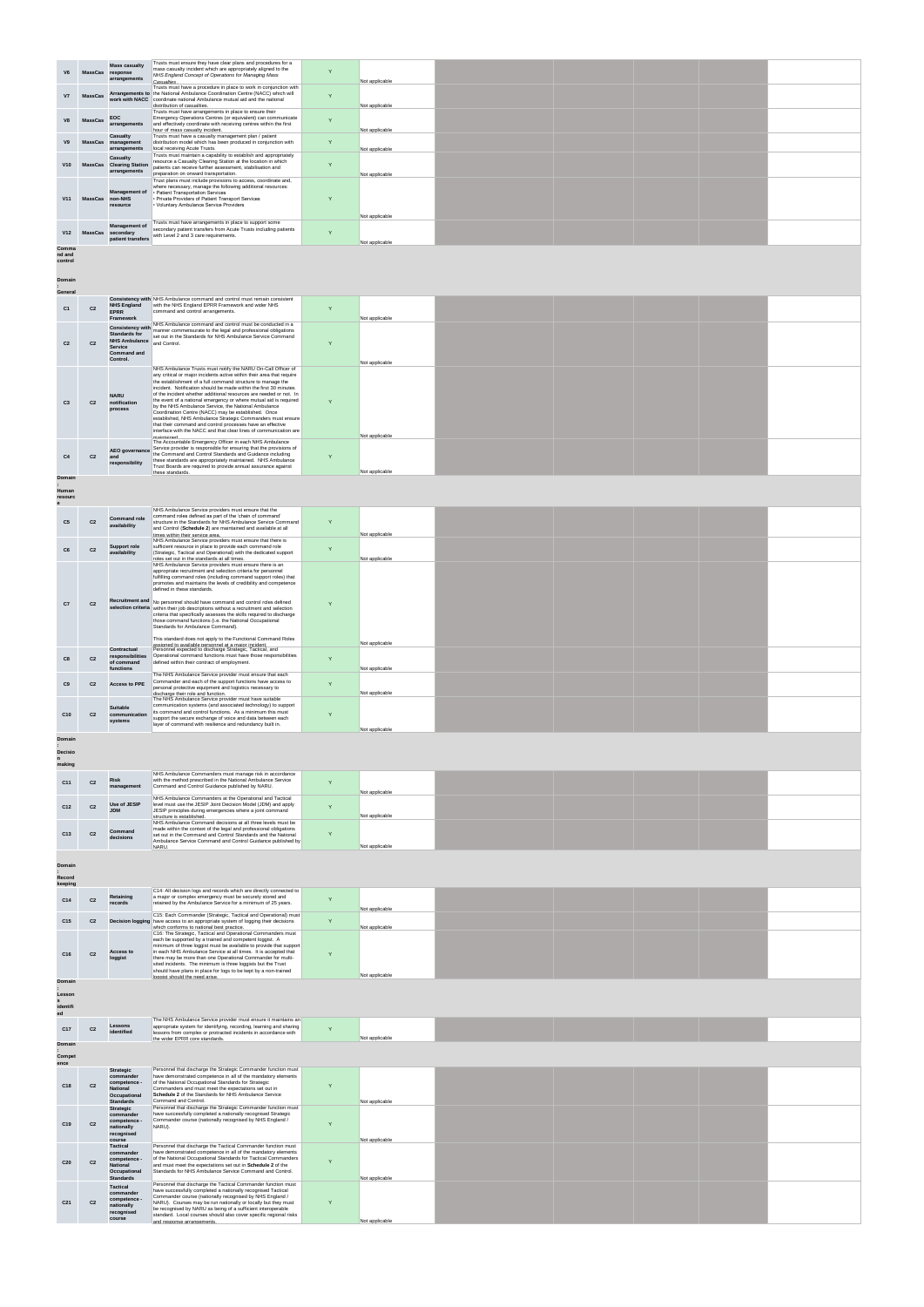| V <sub>6</sub>              |                | <b>Mass casualty</b><br>MassCas response                                | Trusts must ensure they have clear plans and procedures for a<br>mass casualty incident which are appropriately aligned to the<br>NHS England Concept of Operations for Managing Mass                                                                                     | Y            |                |  |  |  |
|-----------------------------|----------------|-------------------------------------------------------------------------|---------------------------------------------------------------------------------------------------------------------------------------------------------------------------------------------------------------------------------------------------------------------------|--------------|----------------|--|--|--|
| <b>V7</b>                   | <b>MassCas</b> | arrangements                                                            | Casualties.<br>Trusts must have a procedure in place to work in conjunction with<br>Arrangements to the National Ambulance Coordination Centre (NACC) which will<br>work with NACC coordinate national Ambulance mutual aid and the national                              | $\mathsf Y$  | Not applicable |  |  |  |
| V8                          | <b>MassCas</b> | EOC                                                                     | distribution of casualties.<br>Trusts must have arrangements in place to ensure their<br>Emergency Operations Centres (or equivalent) can communicate                                                                                                                     | Y            | Not applicable |  |  |  |
| V9                          |                | arrangements<br>Casualty<br>MassCas management                          | and effectively coordinate with receiving centres within the first<br>hour of mass casualty incident.<br>Trusts must have a casualty management plan / patient<br>distribution model which has been produced in conjunction with                                          | Y            | Not applicable |  |  |  |
| <b>V10</b>                  |                | arrangements<br>Casualty<br><b>MassCas</b> Clearing Station             | local receiving Acute Trusts.<br>Trusts must maintain a capability to establish and appropriately<br>resource a Casualty Clearing Station at the location in which<br>patients can receive further assessment, stabilisation and                                          | Y            | Not applicable |  |  |  |
|                             |                | arrangements                                                            | preparation on onward transportation.<br>Trust plans must include provisions to access, coordinate and,<br>where necessary, manage the following additional resources:                                                                                                    |              | Not applicable |  |  |  |
| <b>V11</b>                  |                | <b>Management of</b><br>MassCas non-NHS<br>resource                     | • Patient Transportation Services<br>· Private Providers of Patient Transport Services<br>· Voluntary Ambulance Service Providers                                                                                                                                         | Y            |                |  |  |  |
| <b>V12</b>                  | <b>MassCas</b> | <b>Management of</b><br>secondary                                       | Trusts must have arrangements in place to support some<br>secondary patient transfers from Acute Trusts including patients                                                                                                                                                | Y            | Not applicable |  |  |  |
| Comma<br>nd and             |                | patient transfers                                                       | with Level 2 and 3 care requirements.                                                                                                                                                                                                                                     |              | Not applicable |  |  |  |
| control                     |                |                                                                         |                                                                                                                                                                                                                                                                           |              |                |  |  |  |
| Domain<br>General           |                |                                                                         | Consistency with NHS Ambulance command and control must remain consistent                                                                                                                                                                                                 |              |                |  |  |  |
| C <sub>1</sub>              | C <sub>2</sub> | <b>NHS England</b><br><b>EPRR</b><br>Framework                          | with the NHS England EPRR Framework and wider NHS<br>command and control arrangements.                                                                                                                                                                                    | Y            | Not applicable |  |  |  |
| C <sub>2</sub>              | C <sub>2</sub> | <b>Consistency with</b><br><b>Standards for</b><br><b>NHS Ambulance</b> | NHS Ambulance command and control must be conducted in a<br>manner commensurate to the legal and professional obligations<br>set out in the Standards for NHS Ambulance Service Command<br>and Control.                                                                   | Y            |                |  |  |  |
|                             |                | <b>Service</b><br><b>Command and</b><br>Control.                        |                                                                                                                                                                                                                                                                           |              | Not applicable |  |  |  |
|                             |                |                                                                         | NHS Ambulance Trusts must notify the NARU On-Call Officer of<br>any critical or major incidents active within their area that require<br>the establishment of a full command structure to manage the<br>incident. Notification should be made within the first 30 minutes |              |                |  |  |  |
| C <sub>3</sub>              | C <sub>2</sub> | <b>NARU</b><br>notification<br>process                                  | of the incident whether additional resources are needed or not. In<br>the event of a national emergency or where mutual aid is required<br>by the NHS Ambulance Service, the National Ambulance                                                                           | Y            |                |  |  |  |
|                             |                |                                                                         | Coordination Centre (NACC) may be established. Once<br>established, NHS Ambulance Strategic Commanders must ensure<br>that their command and control processes have an effective<br>interface with the NACC and that clear lines of communication are                     |              |                |  |  |  |
|                             |                | AEO governance                                                          | maintained<br>The Accountable Emergency Officer in each NHS Ambulance<br>Service provider is responsible for ensuring that the provisions of<br>the Command and Control Standards and Guidance including                                                                  |              | Not applicable |  |  |  |
| C4<br>Domain                | C <sub>2</sub> | and<br>responsibility                                                   | these standards are appropriately maintained. NHS Ambulance<br>Trust Boards are required to provide annual assurance against<br>these standards.                                                                                                                          | Y            | Not applicable |  |  |  |
| Human<br>resourc            |                |                                                                         |                                                                                                                                                                                                                                                                           |              |                |  |  |  |
| e<br>C5                     | C <sub>2</sub> | <b>Command role</b>                                                     | NHS Ambulance Service providers must ensure that the<br>command roles defined as part of the 'chain of command'<br>structure in the Standards for NHS Ambulance Service Command                                                                                           | Y            |                |  |  |  |
|                             |                | availability                                                            | and Control (Schedule 2) are maintained and available at all<br>times within their service area.<br>NHS Ambulance Service providers must ensure that there is                                                                                                             |              | Not applicable |  |  |  |
|                             | C <sub>2</sub> | Support role<br>availability                                            | sufficient resource in place to provide each command role<br>(Strategic, Tactical and Operational) with the dedicated support<br>roles set out in the standards at all times.<br>NHS Ambulance Service providers must ensure there is an                                  | $\mathbf{v}$ | Not applicable |  |  |  |
|                             |                |                                                                         | appropriate recruitment and selection criteria for personnel<br>fulfilling command roles (including command support roles) that<br>promotes and maintains the levels of credibility and competence<br>defined in these standards.                                         |              |                |  |  |  |
| C7                          | C <sub>2</sub> |                                                                         | Recruitment and No personnel should have command and control roles defined<br>selection criteria within their job descriptions without a recruitment and selection                                                                                                        | Y            |                |  |  |  |
|                             |                |                                                                         | criteria that specifically assesses the skills required to discharge<br>those command functions (i.e. the National Occupational<br>Standards for Ambulance Command).                                                                                                      |              |                |  |  |  |
|                             |                | Contractual<br>responsibilities                                         | This standard does not apply to the Functional Command Roles<br>secinnad to quailable nerconnal at a maior incident<br>Personnel expected to discharge Strategic, Tactical, and<br>Operational command functions must have those responsibilities                         | Y            | Not applicable |  |  |  |
| C8                          | C <sub>2</sub> | of command<br>functions                                                 | defined within their contract of employment.<br>The NHS Ambulance Service provider must ensure that each<br>Commander and each of the support functions have access to                                                                                                    |              | Not applicable |  |  |  |
| C9                          | C <sub>2</sub> | <b>Access to PPE</b>                                                    | personal protective equipment and logistics necessary to<br>discharge their role and function.<br>The NHS Ambulance Service provider must have suitable                                                                                                                   | Y            | Not applicable |  |  |  |
| C10                         | C <sub>2</sub> | <b>Suitable</b><br>communication<br>systems                             | communication systems (and associated technology) to support<br>its command and control functions. As a minimum this must<br>support the secure exchange of voice and data between each<br>layer of command with resilience and redundancy built in.                      | Y            |                |  |  |  |
| Domain                      |                |                                                                         |                                                                                                                                                                                                                                                                           |              | Not applicable |  |  |  |
| <b>Decisio</b><br>making    |                |                                                                         |                                                                                                                                                                                                                                                                           |              |                |  |  |  |
| C <sub>11</sub>             | C <sub>2</sub> | <b>Risk</b><br>management                                               | NHS Ambulance Commanders must manage risk in accordance<br>with the method prescribed in the National Ambulance Service<br>Command and Control Guidance published by NARU.                                                                                                | Y            | Not applicable |  |  |  |
| C12                         | C <sub>2</sub> | Use of JESIP<br><b>JDM</b>                                              | NHS Ambulance Commanders at the Operational and Tactical<br>level must use the JESIP Joint Decision Model (JDM) and apply<br>JESIP principles during emergencies where a joint command<br>structure is established.                                                       | Y            | Not applicable |  |  |  |
| C13                         | C <sub>2</sub> | Command<br>decisions                                                    | NHS Ambulance Command decisions at all three levels must be<br>made within the context of the legal and professional obligations<br>set out in the Command and Control Standards and the National                                                                         | Y            |                |  |  |  |
|                             |                |                                                                         | Ambulance Service Command and Control Guidance published by<br>NARU.                                                                                                                                                                                                      |              | Not applicable |  |  |  |
| Domain<br>Record<br>keeping |                |                                                                         |                                                                                                                                                                                                                                                                           |              |                |  |  |  |
| C <sub>14</sub>             | C <sub>2</sub> | Retaining<br>records                                                    | C14: All decision logs and records which are directly connected to<br>a major or complex emergency must be securely stored and<br>retained by the Ambulance Service for a minimum of 25 years.                                                                            | $\mathsf Y$  | Not applicable |  |  |  |
| C15                         | C <sub>2</sub> |                                                                         | C15: Each Commander (Strategic, Tactical and Operational) must<br>Decision logging have access to an appropriate system of logging their decisions<br>which conforms to national best practice.                                                                           | Y            | Not applicable |  |  |  |
| C16                         | C <sub>2</sub> | Access to                                                               | C16: The Strategic, Tactical and Operational Commanders must<br>each be supported by a trained and competent loggist. A<br>minimum of three loggist must be available to provide that support<br>in each NHS Ambulance Service at all times. It is accepted that          | Y            |                |  |  |  |
|                             |                | loggist                                                                 | there may be more than one Operational Commander for multi-<br>sited incidents. The minimum is three loggists but the Trust<br>should have plans in place for logs to be kept by a non-trained<br>Innnist should the need arise.                                          |              | Not applicable |  |  |  |
| Domain<br>Lesson            |                |                                                                         |                                                                                                                                                                                                                                                                           |              |                |  |  |  |
| identifi<br>ed              |                |                                                                         | The NHS Ambulance Service provider must ensure it maintains an                                                                                                                                                                                                            |              |                |  |  |  |
| C17<br>Domain               | C <sub>2</sub> | Lessons<br>identified                                                   | appropriate system for identifying, recording, learning and sharing<br>lessons from complex or protracted incidents in accordance with<br>the wider EPRR core standards.                                                                                                  | $\mathsf Y$  | Not applicable |  |  |  |
| Compet<br>ence              |                |                                                                         |                                                                                                                                                                                                                                                                           |              |                |  |  |  |
| C18                         | C <sub>2</sub> | <b>Strategic</b><br>commander<br>competence -<br><b>National</b>        | Personnel that discharge the Strategic Commander function must<br>have demonstrated competence in all of the mandatory elements<br>of the National Occupational Standards for Strategic<br>Commanders and must meet the expectations set out in                           | Y            |                |  |  |  |
|                             |                | Occupational<br><b>Standards</b><br><b>Strategic</b>                    | Schedule 2 of the Standards for NHS Ambulance Service<br>Command and Control.<br>Personnel that discharge the Strategic Commander function must                                                                                                                           |              | Not applicable |  |  |  |
| C19                         | C <sub>2</sub> | commander<br>competence -<br>nationally<br>recognised                   | have successfully completed a nationally recognised Strategic<br>Commander course (nationally recognised by NHS England /<br>NARU).                                                                                                                                       | Y            |                |  |  |  |
|                             |                | course<br><b>Tactical</b><br>commander                                  | Personnel that discharge the Tactical Commander function must<br>have demonstrated competence in all of the mandatory elements                                                                                                                                            |              | Not applicable |  |  |  |
| C <sub>20</sub>             | C <sub>2</sub> | competence -<br><b>National</b><br>Occupational<br><b>Standards</b>     | of the National Occupational Standards for Tactical Commanders<br>and must meet the expectations set out in Schedule 2 of the<br>Standards for NHS Ambulance Service Command and Control.                                                                                 | Y            | Not applicable |  |  |  |
|                             |                | <b>Tactical</b><br>commander<br>competence -                            | Personnel that discharge the Tactical Commander function must<br>have successfully completed a nationally recognised Tactical<br>Commander course (nationally recognised by NHS England /                                                                                 |              |                |  |  |  |
| C <sub>21</sub>             | C <sub>2</sub> | nationally<br>recognised<br>course                                      | NARU). Courses may be run nationally or locally but they must<br>be recognised by NARU as being of a sufficient interoperable<br>standard. Local courses should also cover specific regional risks<br>and response arrangements.                                          | Y            | Not applicable |  |  |  |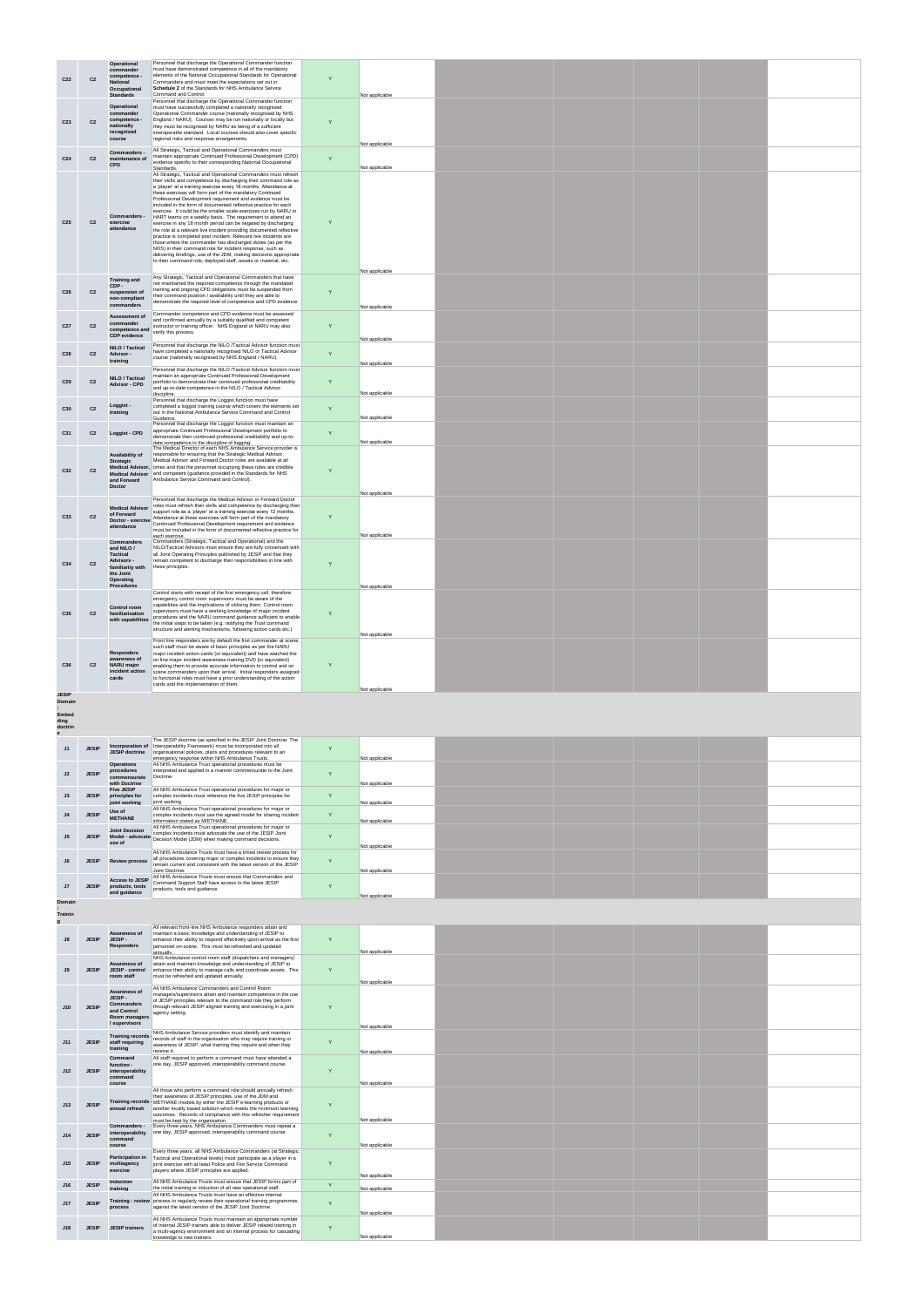|                      |                | Operational<br>commander                             | Personnel that discharge the Operational Commander function<br>must have demonstrated competence in all of the mandatory                                                                             |   |                |  |  |
|----------------------|----------------|------------------------------------------------------|------------------------------------------------------------------------------------------------------------------------------------------------------------------------------------------------------|---|----------------|--|--|
| C <sub>22</sub>      | C <sub>2</sub> | competence<br><b>National</b>                        | elements of the National Occupational Standards for Operational<br>Commanders and must meet the expectations set out in                                                                              | Y |                |  |  |
|                      |                | Occupational<br><b>Standards</b>                     | Schedule 2 of the Standards for NHS Ambulance Service<br>Command and Control.                                                                                                                        |   | Not applicable |  |  |
|                      |                | Operational                                          | Personnel that discharge the Operational Commander function<br>must have successfully completed a nationally recognised                                                                              |   |                |  |  |
| C <sub>23</sub>      | C <sub>2</sub> | commander<br>competence                              | Operational Commander course (nationally recognised by NHS<br>England / NARU). Courses may be run nationally or locally but                                                                          | Y |                |  |  |
|                      |                | nationally<br>recognised                             | they must be recognised by NARU as being of a sufficient<br>interoperable standard. Local courses should also cover specific                                                                         |   |                |  |  |
|                      |                | course                                               | regional risks and response arrangements.<br>All Strategic, Tactical and Operational Commanders must                                                                                                 |   | Not applicable |  |  |
| C <sub>24</sub>      | C <sub>2</sub> | Commanders -<br>maintenance of                       | maintain appropriate Continued Professional Development (CPD)<br>evidence specific to their corresponding National Occupational                                                                      | Y |                |  |  |
|                      |                | <b>CPD</b>                                           | Standards.<br>All Strategic, Tactical and Operational Commanders must refresh                                                                                                                        |   | Not applicable |  |  |
|                      |                |                                                      | their skills and competence by discharging their command role as<br>a 'player' at a training exercise every 18 months. Attendance at                                                                 |   |                |  |  |
|                      |                |                                                      | these exercises will form part of the mandatory Continued<br>Professional Development requirement and evidence must be                                                                               |   |                |  |  |
|                      |                |                                                      | included in the form of documented reflective practice for each<br>exercise. It could be the smaller scale exercises run by NARU or                                                                  |   |                |  |  |
| C <sub>25</sub>      | C <sub>2</sub> | Commanders -<br>exercise                             | HART teams on a weekly basis. The requirement to attend an<br>exercise in any 18 month period can be negated by discharging                                                                          | Y |                |  |  |
|                      |                | attendance                                           | the role at a relevant live incident providing documented reflective<br>practice is completed post incident. Relevant live incidents are                                                             |   |                |  |  |
|                      |                |                                                      | those where the commander has discharged duties (as per the<br>NOS) in their command role for incident response, such as<br>delivering briefings, use of the JDM, making decisions appropriate       |   |                |  |  |
|                      |                |                                                      | to their command role, deployed staff, assets or material, etc.                                                                                                                                      |   |                |  |  |
|                      |                | <b>Training and</b>                                  | Any Strategic, Tactical and Operational Commanders that have                                                                                                                                         |   | Not applicable |  |  |
| C <sub>26</sub>      | C <sub>2</sub> | CDP-<br>suspension of                                | not maintained the required competence through the mandated<br>training and ongoing CPD obligations must be suspended from                                                                           | Y |                |  |  |
|                      |                | non-compliant<br>commanders                          | their command position / availability until they are able to<br>demonstrate the required level of competence and CPD evidence.                                                                       |   | Not applicable |  |  |
|                      |                | Assessment of                                        | Commander competence and CPD evidence must be assessed<br>and confirmed annually by a suitably qualified and competent                                                                               |   |                |  |  |
| C <sub>27</sub>      | C <sub>2</sub> | commander<br>competence and<br><b>CDP</b> evidence   | instructor or training officer. NHS England or NARU may also<br>verify this process.                                                                                                                 | Y |                |  |  |
|                      |                | <b>NILO / Tactical</b>                               | Personnel that discharge the NILO /Tactical Advisor function must                                                                                                                                    |   | Not applicable |  |  |
| C <sub>28</sub>      | C <sub>2</sub> | <b>Advisor -</b><br>training                         | have completed a nationally recognised NILO or Tactical Advisor<br>course (nationally recognised by NHS England / NARU).                                                                             | Y |                |  |  |
|                      |                |                                                      | Personnel that discharge the NILO /Tactical Advisor function must                                                                                                                                    |   | Not applicable |  |  |
| C <sub>29</sub>      | C <sub>2</sub> | <b>NILO / Tactical</b><br><b>Advisor - CPD</b>       | maintain an appropriate Continued Professional Development<br>portfolio to demonstrate their continued professional creditability<br>and up-to-date competence in the NILO / Tactical Advisor        | Y |                |  |  |
|                      |                |                                                      | discipline.<br>Personnel that discharge the Loggist function must have                                                                                                                               |   | Not applicable |  |  |
| C30                  | C <sub>2</sub> | Loggist -<br>training                                | completed a loggist training course which covers the elements set<br>out in the National Ambulance Service Command and Control                                                                       | Y |                |  |  |
|                      |                |                                                      | Guidance.<br>Personnel that discharge the Loggist function must maintain an                                                                                                                          |   | Not applicable |  |  |
| C <sub>31</sub>      | C <sub>2</sub> | Loggist - CPD                                        | appropriate Continued Professional Development portfolio to<br>demonstrate their continued professional creditability and up-to-<br>date competence in the discipline of logging.                    | Y | Not applicable |  |  |
|                      |                | Availability of                                      | The Medical Director of each NHS Ambulance Service provider is<br>responsible for ensuring that the Strategic Medical Advisor,                                                                       |   |                |  |  |
|                      |                | <b>Strategic</b>                                     | Medical Advisor and Forward Doctor roles are available at all<br>Medical Advisor, times and that the personnel occupying these roles are credible                                                    |   |                |  |  |
| C32                  | C <sub>2</sub> | and Forward                                          | Medical Advisor and competent (guidance provided in the Standards for NHS<br>Ambulance Service Command and Control).                                                                                 | Y |                |  |  |
|                      |                | <b>Doctor</b>                                        |                                                                                                                                                                                                      |   | Not applicable |  |  |
|                      |                | <b>Medical Advisor</b>                               | Personnel that discharge the Medical Advisor or Forward Doctor<br>roles must refresh their skills and competence by discharging their                                                                |   |                |  |  |
| C33                  | C <sub>2</sub> | of Forward<br>Doctor - exercise                      | support role as a 'player' at a training exercise every 12 months.<br>Attendance at these exercises will form part of the mandatory                                                                  | Y |                |  |  |
|                      |                | attendance                                           | Continued Professional Development requirement and evidence<br>must be included in the form of documented reflective practice for<br>each exercise.                                                  |   | Not applicable |  |  |
|                      |                | <b>Commanders</b><br>and NILO /                      | Commanders (Strategic, Tactical and Operational) and the<br>NILO/Tactical Advisors must ensure they are fully conversant with                                                                        |   |                |  |  |
|                      |                | <b>Tactical</b><br><b>Advisors -</b>                 | all Joint Operating Principles published by JESIP and that they<br>remain competent to discharge their responsibilities in line with                                                                 |   |                |  |  |
| C34                  | C <sub>2</sub> | familiarity with<br>the Joint                        | these principles.                                                                                                                                                                                    | Y |                |  |  |
|                      |                | Operating<br><b>Procedures</b>                       |                                                                                                                                                                                                      |   | Not applicable |  |  |
|                      |                |                                                      | Control starts with receipt of the first emergency call, therefore<br>emergency control room supervisors must be aware of the                                                                        |   |                |  |  |
| C35                  | C <sub>2</sub> | Control room<br>familiarisation                      | capabilities and the implications of utilising them. Control room<br>supervisors must have a working knowledge of major incident                                                                     | Y |                |  |  |
|                      |                | with capabilities                                    | procedures and the NARU command guidance sufficient to enable<br>the initial steps to be taken (e.g. notifying the Trust command<br>structure and alerting mechanisms, following action cards etc.)  |   |                |  |  |
|                      |                |                                                      | Front line responders are by default the first commander at scene,                                                                                                                                   |   | Not applicable |  |  |
|                      |                | <b>Responders</b>                                    | such staff must be aware of basic principles as per the NARU<br>major incident action cards (or equivalent) and have watched the                                                                     |   |                |  |  |
| C36                  | C <sub>2</sub> | awareness of<br><b>NARU</b> major<br>incident action | on line major incident awareness training DVD (or equivalent)<br>enabling them to provide accurate information to control and on<br>scene commanders upon their arrival. Initial responders assigned | Y |                |  |  |
|                      |                |                                                      |                                                                                                                                                                                                      |   |                |  |  |
|                      |                | cards                                                | to functional roles must have a prior understanding of the action                                                                                                                                    |   |                |  |  |
| <b>JESIP</b>         |                |                                                      | cards and the implementation of them.                                                                                                                                                                |   | Not applicable |  |  |
| Domain               |                |                                                      |                                                                                                                                                                                                      |   |                |  |  |
| <b>Embed</b><br>ding |                |                                                      |                                                                                                                                                                                                      |   |                |  |  |
| doctrin              |                |                                                      |                                                                                                                                                                                                      |   |                |  |  |
| J <sub>1</sub>       | <b>JESIP</b>   |                                                      | The JESIP doctrine (as specified in the JESIP Joint Doctrine: The<br>Incorporation of Interoperability Framework) must be incorporated into all                                                      | Y |                |  |  |
|                      |                | <b>JESIP</b> doctrine<br><b>Operations</b>           | organisational policies, plans and procedures relevant to an<br>emergency response within NHS Ambulance Trusts.<br>All NHS Ambulance Trust operational procedures must be                            |   | Not applicable |  |  |
| J2                   | <b>JESIP</b>   | procedures<br>commensurate                           | interpreted and applied in a manner commensurate to the Joint<br>Doctrine.                                                                                                                           | Y |                |  |  |
|                      |                | with Doctrine<br><b>Five JESIP</b>                   | All NHS Ambulance Trust operational procedures for major or                                                                                                                                          |   | Not applicable |  |  |
| J3                   | <b>JESIP</b>   | principles for<br>joint working                      | complex incidents must reference the five JESIP principles for<br>joint working.                                                                                                                     | Y | Not applicable |  |  |
| J <sub>4</sub>       | <b>JESIP</b>   | Use of<br><b>METHANE</b>                             | All NHS Ambulance Trust operational procedures for major or<br>complex incidents must use the agreed model for sharing incident<br>information stated as M/ETHANE.                                   | Y | Not applicable |  |  |
|                      |                | <b>Joint Decision</b>                                | All NHS Ambulance Trust operational procedures for major or<br>complex incidents must advocate the use of the JESIP Joint                                                                            |   |                |  |  |
| J5                   | <b>JESIP</b>   | use of                                               | Model - advocate Decision Model (JDM) when making command decisions.                                                                                                                                 | Y | Not applicable |  |  |
| J <sub>6</sub>       | <b>JESIP</b>   |                                                      | All NHS Ambulance Trusts must have a timed review process for<br>all procedures covering major or complex incidents to ensure they                                                                   | Y |                |  |  |
|                      |                | <b>Review process</b>                                | remain current and consistent with the latest version of the JESIP<br>Joint Doctrine.                                                                                                                |   | Not applicable |  |  |
| J7                   | <b>JESIP</b>   | <b>Access to JESIP</b><br>products, tools            | All NHS Ambulance Trusts must ensure that Commanders and<br>Command Support Staff have access to the latest JESIP<br>products, tools and guidance.                                                   | Y |                |  |  |
| Domain               |                | and guidance                                         |                                                                                                                                                                                                      |   | Not applicable |  |  |
| Trainin              |                |                                                      |                                                                                                                                                                                                      |   |                |  |  |
|                      |                |                                                      | All relevant front-line NHS Ambulance responders attain and                                                                                                                                          |   |                |  |  |
| J8                   | <b>JESIP</b>   | Awareness of<br>JESIP-                               | maintain a basic knowledge and understanding of JESIP to<br>enhance their ability to respond effectively upon arrival as the first                                                                   | Y |                |  |  |
|                      |                | <b>Responders</b>                                    | personnel on-scene. This must be refreshed and updated<br>annually.<br>NHS Ambulance control room staff (dispatchers and managers)                                                                   |   | Not applicable |  |  |
| J9                   | <b>JESIP</b>   | Awareness of<br>JESIP - control                      | attain and maintain knowledge and understanding of JESIP to<br>enhance their ability to manage calls and coordinate assets. This                                                                     | Y |                |  |  |
|                      |                | room staff                                           | must be refreshed and updated annually.                                                                                                                                                              |   | Not applicable |  |  |
|                      |                | Awareness of<br>JESIP-                               | All NHS Ambulance Commanders and Control Room<br>managers/supervisors attain and maintain competence in the use                                                                                      |   |                |  |  |
| J10                  | <b>JESIP</b>   | <b>Commanders</b><br>and Control                     | of JESIP principles relevant to the command role they perform<br>through relevant JESIP aligned training and exercising in a joint                                                                   | Y |                |  |  |
|                      |                | Room managers<br>/ supervisors                       | agency setting.                                                                                                                                                                                      |   | Not applicable |  |  |
|                      |                | Training records -                                   | NHS Ambulance Service providers must identify and maintain<br>records of staff in the organisation who may require training or                                                                       |   |                |  |  |
| J11                  | <b>JESIP</b>   | staff requiring<br>training                          | awareness of JESIP, what training they require and when they<br>receive it.                                                                                                                          | Y | Not applicable |  |  |
|                      |                | Command<br>function -                                | All staff required to perform a command must have attended a<br>one day, JESIP approved, interoperability command course.                                                                            |   |                |  |  |
| J12                  | <b>JESIP</b>   | interoperability<br>command                          |                                                                                                                                                                                                      | Y |                |  |  |
|                      |                | course                                               | All those who perform a command role should annually refresh                                                                                                                                         |   | Not applicable |  |  |
| J13                  | <b>JESIP</b>   |                                                      | their awareness of JESIP principles, use of the JDM and<br>Training records · METHANE models by either the JESIP e-learning products or                                                              | Y |                |  |  |
|                      |                |                                                      | annual refresh another locally based solution which meets the minimum learning<br>outcomes. Records of compliance with this refresher requirement<br>must be kept by the organisation.               |   | Not applicable |  |  |
|                      |                | interoperability                                     | Commanders - Every three years, NHS Ambulance Commanders must repeat a<br>one day, JESIP approved, interoperability command course.                                                                  |   |                |  |  |
| J14                  | <b>JESIP</b>   | command<br>course                                    |                                                                                                                                                                                                      | Y | Not applicable |  |  |
|                      |                | <b>Participation in</b>                              | Every three years, all NHS Ambulance Commanders (at Strategic,<br>Tactical and Operational levels) must participate as a player in a                                                                 |   |                |  |  |
| J15                  | <b>JESIP</b>   | multiagency<br>exercise                              | joint exercise with at least Police and Fire Service Command<br>players where JESIP principles are applied.                                                                                          | Y | Not applicable |  |  |
| J16                  | <b>JESIP</b>   | Induction<br>training                                | All NHS Ambulance Trusts must ensure that JESIP forms part of<br>the initial training or induction of all new operational staff.                                                                     | Y | Not applicable |  |  |
| J17                  | <b>JESIP</b>   |                                                      | All NHS Ambulance Trusts must have an effective internal<br>Training - review process to regularly review their operational training programmes                                                      | Y |                |  |  |
|                      |                | process                                              | against the latest version of the JESIP Joint Doctrine.<br>All NHS Ambulance Trusts must maintain an appropriate number<br>of internal JESIP trainers able to deliver JESIP related training in      |   | Not applicable |  |  |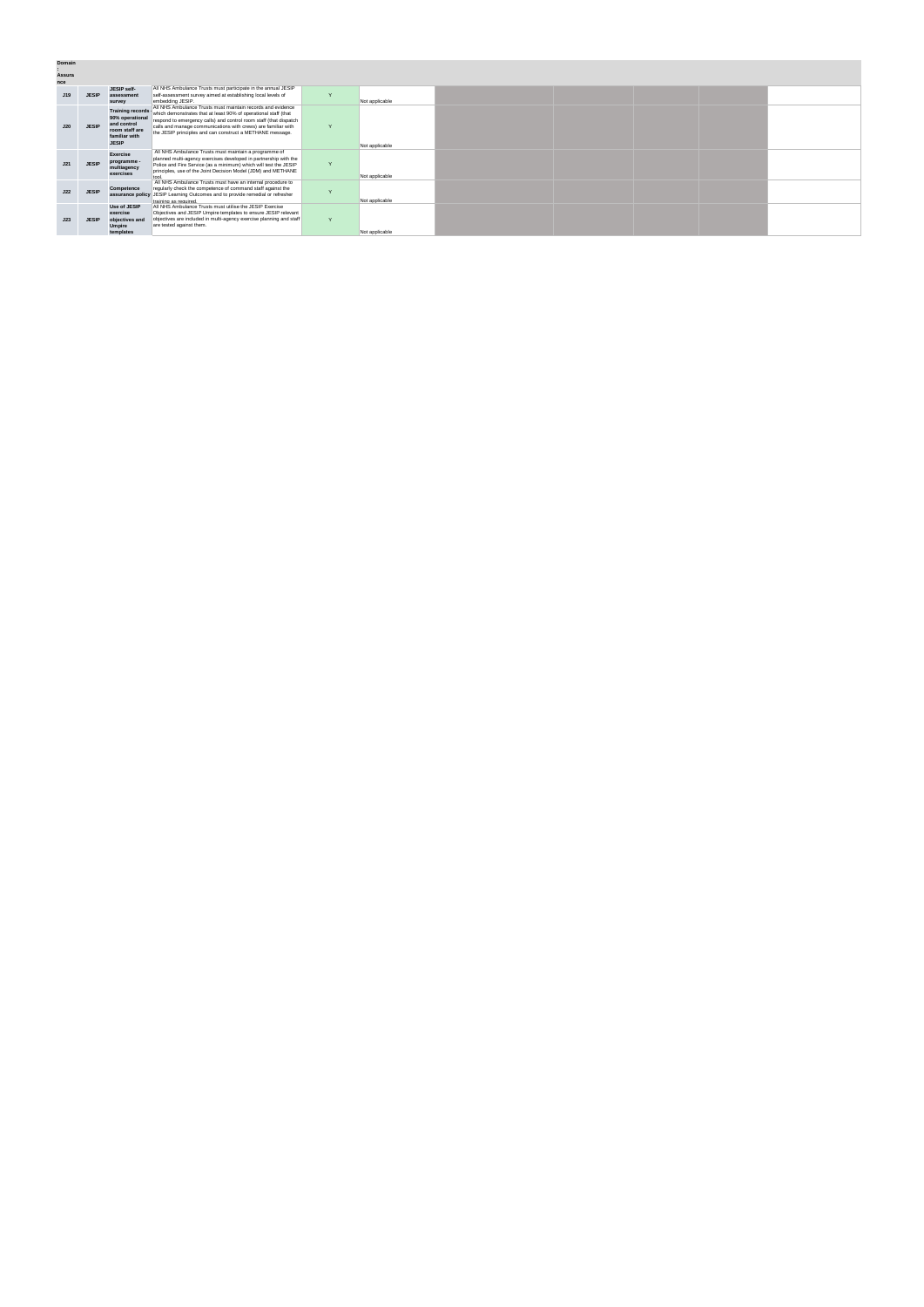| Domain |              |                 |                                                                                                                                                 |              |                |  |  |  |
|--------|--------------|-----------------|-------------------------------------------------------------------------------------------------------------------------------------------------|--------------|----------------|--|--|--|
|        |              |                 |                                                                                                                                                 |              |                |  |  |  |
| Assura |              |                 |                                                                                                                                                 |              |                |  |  |  |
| nce    |              |                 |                                                                                                                                                 |              |                |  |  |  |
|        |              | JESIP self-     | All NHS Ambulance Trusts must participate in the annual JESIP                                                                                   |              |                |  |  |  |
| J19    | <b>JESIP</b> | assessment      | self-assessment survey aimed at establishing local levels of                                                                                    | $\mathbf{v}$ |                |  |  |  |
|        |              | survey          | embedding JESIP.                                                                                                                                |              | Not applicable |  |  |  |
|        |              |                 | All NHS Ambulance Trusts must maintain records and evidence<br>Training records which demonstrates that at least 90% of operational staff (that |              |                |  |  |  |
|        |              | 90% operational |                                                                                                                                                 |              |                |  |  |  |
|        |              | and control     | respond to emergency calls) and control room staff (that dispatch<br>calls and manage communications with crews) are familiar with              | $\mathbf{v}$ |                |  |  |  |
| J20    | <b>JESIP</b> | room staff are  | the JESIP principles and can construct a METHANE message.                                                                                       |              |                |  |  |  |
|        |              | familiar with   |                                                                                                                                                 |              |                |  |  |  |
|        |              | <b>JESIP</b>    |                                                                                                                                                 |              | Not applicable |  |  |  |
|        |              |                 | All NHS Ambulance Trusts must maintain a programme of                                                                                           |              |                |  |  |  |
|        |              | Exercise        | planned multi-agency exercises developed in partnership with the                                                                                |              |                |  |  |  |
| J21    | <b>JESIP</b> | programme -     | Police and Fire Service (as a minimum) which will test the JESIP                                                                                | $\mathbf{v}$ |                |  |  |  |
|        |              | multiagency     | principles, use of the Joint Decision Model (JDM) and METHANE                                                                                   |              |                |  |  |  |
|        |              | exercises       | tool.                                                                                                                                           |              | Not applicable |  |  |  |
|        |              |                 | All NHS Ambulance Trusts must have an internal procedure to                                                                                     |              |                |  |  |  |
| J22    | <b>JESIP</b> | Competence      | regularly check the competence of command staff against the                                                                                     | $\mathbf{v}$ |                |  |  |  |
|        |              |                 | assurance policy JESIP Learning Outcomes and to provide remedial or refresher                                                                   |              |                |  |  |  |
|        |              |                 | training as required.                                                                                                                           |              | Not applicable |  |  |  |
|        |              | Use of JESIP    | All NHS Ambulance Trusts must utilise the JESIP Exercise                                                                                        |              |                |  |  |  |
|        |              | exercise        | Objectives and JESIP Umpire templates to ensure JESIP relevant                                                                                  |              |                |  |  |  |
| J23    | <b>JESIP</b> | objectives and  | objectives are included in multi-agency exercise planning and staff                                                                             | $\mathbf{v}$ |                |  |  |  |
|        |              | <b>Umpire</b>   | are tested against them.                                                                                                                        |              |                |  |  |  |
|        |              | templates       |                                                                                                                                                 |              | Not applicable |  |  |  |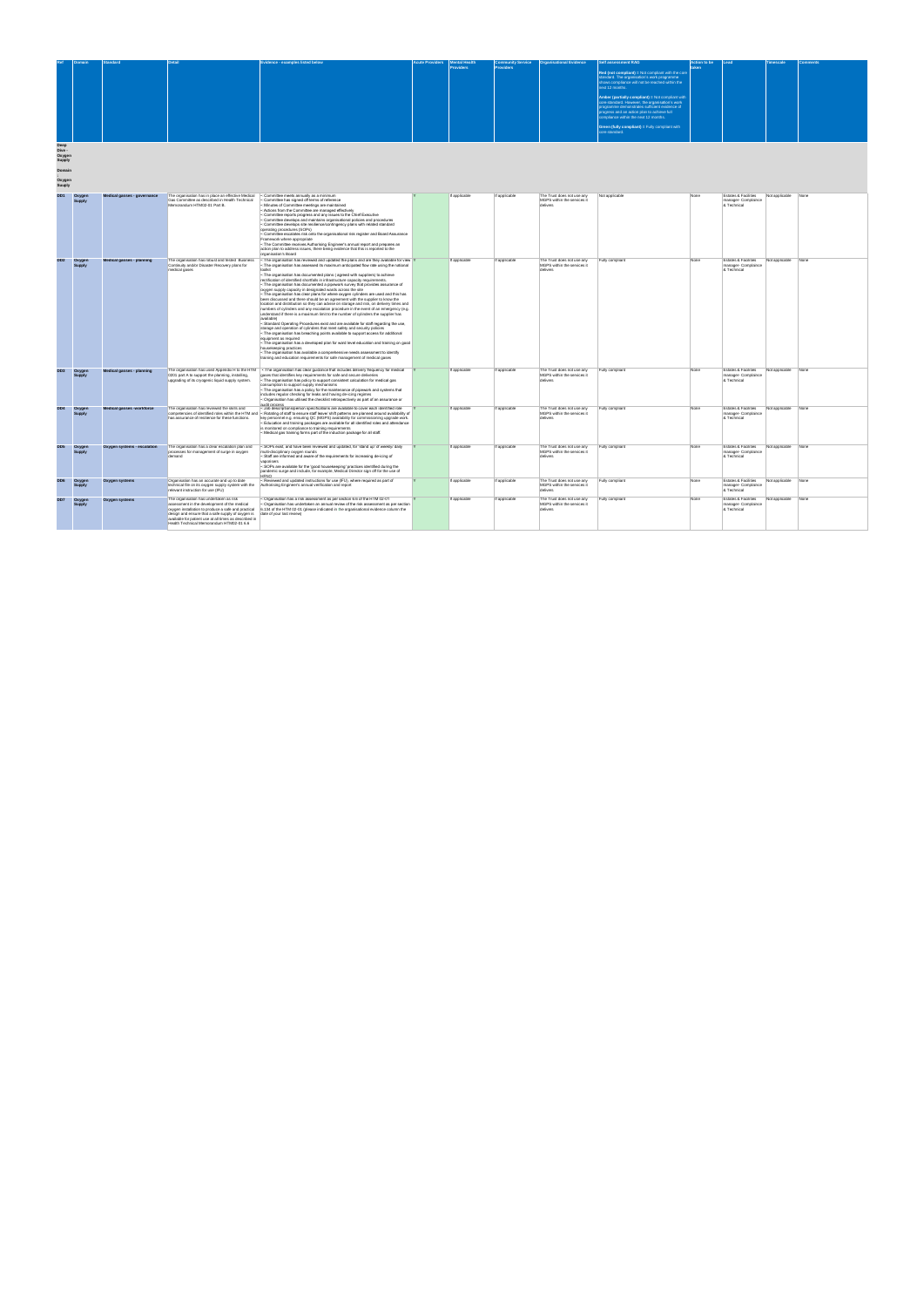|                            |                         |                             |                                                                                                                                                                                                                                                                                                           | vidence - examples listed below                                                                                                                                                                                                                                                                                                                                                                                                                                                                                                                                                                                                                                                                                                                                                                                                                                                                                                                                                                                                                                                                                                                                                                                                                                                                                                                                                                                                                                                                                                                | Mental Health | <b>Community Service</b> | Organisational Evidence                                               | Self assessment RAG                                                                                                                                                                                                                                                                                                                                                                                                                                                                   | tion to be |                                                            |                     |      |
|----------------------------|-------------------------|-----------------------------|-----------------------------------------------------------------------------------------------------------------------------------------------------------------------------------------------------------------------------------------------------------------------------------------------------------|------------------------------------------------------------------------------------------------------------------------------------------------------------------------------------------------------------------------------------------------------------------------------------------------------------------------------------------------------------------------------------------------------------------------------------------------------------------------------------------------------------------------------------------------------------------------------------------------------------------------------------------------------------------------------------------------------------------------------------------------------------------------------------------------------------------------------------------------------------------------------------------------------------------------------------------------------------------------------------------------------------------------------------------------------------------------------------------------------------------------------------------------------------------------------------------------------------------------------------------------------------------------------------------------------------------------------------------------------------------------------------------------------------------------------------------------------------------------------------------------------------------------------------------------|---------------|--------------------------|-----------------------------------------------------------------------|---------------------------------------------------------------------------------------------------------------------------------------------------------------------------------------------------------------------------------------------------------------------------------------------------------------------------------------------------------------------------------------------------------------------------------------------------------------------------------------|------------|------------------------------------------------------------|---------------------|------|
| Deep                       |                         |                             |                                                                                                                                                                                                                                                                                                           |                                                                                                                                                                                                                                                                                                                                                                                                                                                                                                                                                                                                                                                                                                                                                                                                                                                                                                                                                                                                                                                                                                                                                                                                                                                                                                                                                                                                                                                                                                                                                | oviders       |                          |                                                                       | Red (not compliant) = Not compliant with the core<br>standard. The organisation's work programme<br>shows compliance will not be reached within the<br>next 12 months<br>Amber (partially compliant) = Not compliant with<br>core standard. However, the organisation's work<br>rogramme demonstrates sufficient evidence of<br>rogress and an action plan to achieve full<br>compliance within the next 12 months.<br>Green (fully compliant) = Fully compliant with<br>ore standard |            |                                                            |                     |      |
| Dive-<br>Oxygen<br>Supply  |                         |                             |                                                                                                                                                                                                                                                                                                           |                                                                                                                                                                                                                                                                                                                                                                                                                                                                                                                                                                                                                                                                                                                                                                                                                                                                                                                                                                                                                                                                                                                                                                                                                                                                                                                                                                                                                                                                                                                                                |               |                          |                                                                       |                                                                                                                                                                                                                                                                                                                                                                                                                                                                                       |            |                                                            |                     |      |
| Domain<br>Oxygen<br>Suuply |                         |                             |                                                                                                                                                                                                                                                                                                           |                                                                                                                                                                                                                                                                                                                                                                                                                                                                                                                                                                                                                                                                                                                                                                                                                                                                                                                                                                                                                                                                                                                                                                                                                                                                                                                                                                                                                                                                                                                                                |               |                          |                                                                       |                                                                                                                                                                                                                                                                                                                                                                                                                                                                                       |            |                                                            |                     |      |
| DD <sub>1</sub>            | Oxygen<br><b>Supply</b> | Medical gasses - governance | The organisation has in place an effective Medical . Committee meets annually as a minimum<br>Gas Committee as described in Health Technical . Committee has signed off terms of reference<br>Memorandum HTM02-01 Part B.                                                                                 | . Minutes of Committee meetings are maintained<br>. Actions from the Committee are managed effectively<br>. Committee reports progress and any issues to the Chief Executive<br>. Committee develops and maintains organisational policies and procedures<br>. Committee develops site resilience/contingency plans with related standard<br>operating procedures (SOPs)<br>. Committee escalates risk onto the organisational risk register and Board Assurance<br>Framework where appropriate<br>. The Committee receives Authorising Engineer's annual report and prepares an<br>action plan to address issues, there being evidence that this is reported to the<br>organisation's Board                                                                                                                                                                                                                                                                                                                                                                                                                                                                                                                                                                                                                                                                                                                                                                                                                                                   | If applicable | If applicable            | The Trust does not use any<br>MGPS within the services it<br>delivers | Not applicable                                                                                                                                                                                                                                                                                                                                                                                                                                                                        | None       | Estates & Facilities<br>manager- Complaince<br>& Technical | Not applicable      | None |
| DD <sub>2</sub>            | Oxygen<br>Supply        | Medical gasses - planning   | The organisation has robust and tested Business<br>Continuity and/or Disaster Recovery plans for<br>medical gases                                                                                                                                                                                         | . The organisation has reviewed and updated the plans and are they available for view Y<br>. The organisation has assessed its maximum anticipated flow rate using the national<br>toolkit<br>. The organisation has documented plans (agreed with suppliers) to achieve<br>rectification of identified shortfalls in infrastructure capacity requirements.<br>. The organisation has documented a pipework survey that provides assurance of<br>oxygen supply capacity in designated wards across the site<br>. The organisation has clear plans for where oxygen cylinders are used and this has<br>been discussed and there should be an agreement with the supplier to know the<br>location and distribution so they can advise on storage and risk, on delivery times and<br>numbers of cylinders and any escalation procedure in the event of an emergency (e.g.<br>understand if there is a maximum limit to the number of cylinders the supplier has<br>available)<br>. Standard Operating Procedures exist and are available for staff regarding the use,<br>storage and operation of cylinders that meet safety and security policies<br>. The organisation has breaching points available to support access for additional<br>equipment as required<br>. The organisation has a developed plan for ward level education and training on good<br>housekeeping practices<br>. The organisation has available a comprehensive needs assessment to identify<br>training and education requirements for safe management of medical gases | If applicable | If applicable            | The Trust does not use any<br>MGPS within the services it<br>delivers | Fully compliant                                                                                                                                                                                                                                                                                                                                                                                                                                                                       | None       | Estates & Facilities<br>manager- Complaince<br>& Technical | Not applicable None |      |
| DD <sub>3</sub>            | Oxygen<br><b>Supply</b> | Medical gasses - planning   | 0201 part A to support the planning, installing,<br>upgrading of its cryogenic liquid supply system.                                                                                                                                                                                                      | The organisation has used Appendix H to the HTM . The organisation has clear guidance that includes delivery frequency for medical<br>gases that identifies key requirements for safe and secure deliveries<br>. The organisation has policy to support consistent calculation for medical gas<br>consumption to support supply mechanisms<br>. The organisation has a policy for the maintenance of pipework and systems that<br>includes regular checking for leaks and having de-icing regimes<br>. Organisation has utilised the checklist retrospectively as part of an assurance or<br>udit process                                                                                                                                                                                                                                                                                                                                                                                                                                                                                                                                                                                                                                                                                                                                                                                                                                                                                                                                      | If applicable | If applicable            | The Trust does not use any<br>MGPS within the services it<br>delivers | Fully compliant                                                                                                                                                                                                                                                                                                                                                                                                                                                                       | None       | Estates & Facilities<br>manager- Complaince<br>& Technical | Not applicable      | None |
| DD <sub>4</sub>            | Oxygen<br>Supply        | Medical gasses -workforce   | The organisation has reviewed the skills and<br>has assurance of resilience for these functions                                                                                                                                                                                                           | . Job descriptions/person specifications are available to cover each identified role<br>competencies of identified roles within the HTM and . Rotating of staff to ensure staff leave/ shift patterns are planned around availability of<br>key personnel e.g. ensuring QC (MGPS) availability for commissioning upgrade work.<br>. Education and training packages are available for all identified roles and attendance<br>is monitored on compliance to training requirements<br>. Medical gas training forms part of the induction package for all staff.                                                                                                                                                                                                                                                                                                                                                                                                                                                                                                                                                                                                                                                                                                                                                                                                                                                                                                                                                                                  | If applicable | If applicable            | The Trust does not use any<br>MGPS within the services it<br>delivers | Fully compliant                                                                                                                                                                                                                                                                                                                                                                                                                                                                       | None       | Estates & Facilities<br>manager- Complaince<br>& Technical | Not applicable      | None |
| DD <sub>5</sub>            | Oxygen<br>Supply        | Oxygen systems - escalation | The organisation has a clear escalation plan and<br>processes for management of surge in oxygen<br>demand                                                                                                                                                                                                 | . SOPs exist, and have been reviewed and updated, for 'stand up' of weekly/ daily<br>multi-disciplinary oxygen rounds<br>. Staff are informed and aware of the requirements for increasing de-icing of<br>vaporisers<br>. SOPs are available for the 'good housekeeping' practices identified during the<br>pandemic surge and include, for example, Medical Director sign off for the use of<br><b>HFNO</b>                                                                                                                                                                                                                                                                                                                                                                                                                                                                                                                                                                                                                                                                                                                                                                                                                                                                                                                                                                                                                                                                                                                                   | If applicable | If applicable            | The Trust does not use any<br>MGPS within the services it<br>delivers | Fully compliant                                                                                                                                                                                                                                                                                                                                                                                                                                                                       | None       | manager- Complaince<br>& Technical                         |                     |      |
| DD6                        | Oxygen<br><b>Supply</b> | Oxygen systems              | Organisation has an accurate and up to date<br>technical file on its oxygen supply system with the<br>relevant instruction for use (IFU)                                                                                                                                                                  | . Reviewed and updated instructions for use (IFU), where required as part of<br>Authorising Engineer's annual verification and report                                                                                                                                                                                                                                                                                                                                                                                                                                                                                                                                                                                                                                                                                                                                                                                                                                                                                                                                                                                                                                                                                                                                                                                                                                                                                                                                                                                                          | If applicable | If applicable            | The Trust does not use any<br>MGPS within the services i<br>delivers  | Fully compliant                                                                                                                                                                                                                                                                                                                                                                                                                                                                       | None       | Estates & Facilities<br>manager- Complaince<br>& Technical | Not applicable None |      |
| DD7                        | Oxygen<br><b>Supply</b> | Oxygen systems              | The organisation has undertaken as risk<br>assessment in the development of the medical<br>oxygen installation to produce a safe and practical<br>design and ensure that a safe supply of oxygen is<br>available for patient use at all times as described in<br>Health Technical Memorandum HTM02-01 6.6 | . Organisation has a risk assessment as per section 6.6 of the HTM 02-01<br>. Organisation has undertaken an annual review of the risk assessment as per section<br>6.134 of the HTM 02-01 (please indicated in the organisational evidence column the<br>date of your last review)                                                                                                                                                                                                                                                                                                                                                                                                                                                                                                                                                                                                                                                                                                                                                                                                                                                                                                                                                                                                                                                                                                                                                                                                                                                            | If applicable | If applicable            | The Trust does not use any<br>MGPS within the services it<br>delivers | Fully compliant                                                                                                                                                                                                                                                                                                                                                                                                                                                                       | None       | Estates & Facilities<br>manager- Complaince<br>& Technical | Not applicable      | None |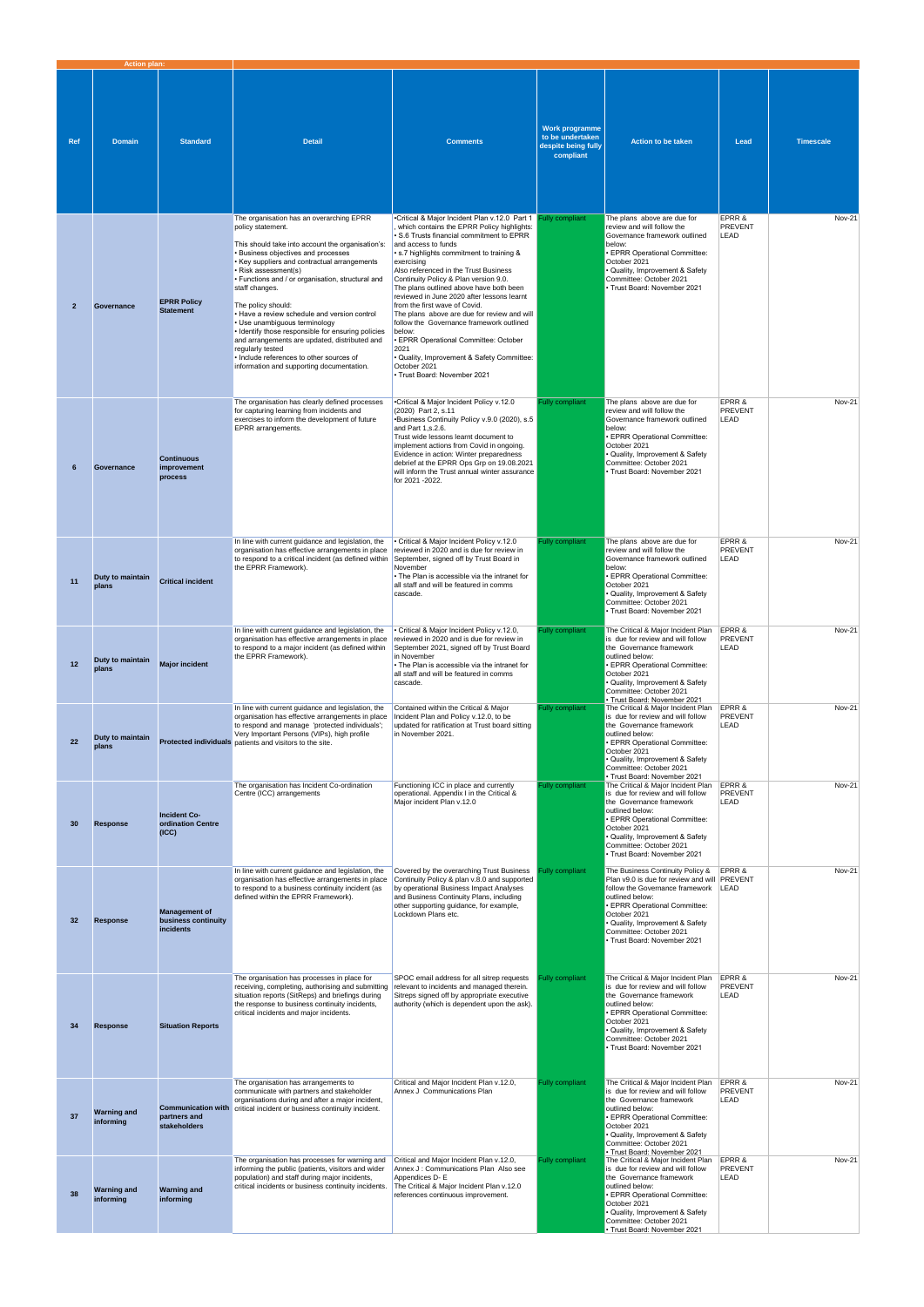|                | <b>Action plan:</b>             |                                                          |                                                                                                                                                                                                                                                                                                                                                                                                                                                                                                                                                                                                                                          |                                                                                                                                                                                                                                                                                                                                                                                                                                                                                                                                                                                                                                                                                                            |                                                                        |                                                                                                                                                                                                                                                                                  |                                  |                  |
|----------------|---------------------------------|----------------------------------------------------------|------------------------------------------------------------------------------------------------------------------------------------------------------------------------------------------------------------------------------------------------------------------------------------------------------------------------------------------------------------------------------------------------------------------------------------------------------------------------------------------------------------------------------------------------------------------------------------------------------------------------------------------|------------------------------------------------------------------------------------------------------------------------------------------------------------------------------------------------------------------------------------------------------------------------------------------------------------------------------------------------------------------------------------------------------------------------------------------------------------------------------------------------------------------------------------------------------------------------------------------------------------------------------------------------------------------------------------------------------------|------------------------------------------------------------------------|----------------------------------------------------------------------------------------------------------------------------------------------------------------------------------------------------------------------------------------------------------------------------------|----------------------------------|------------------|
| Ref            | <b>Domain</b>                   | <b>Standard</b>                                          | <b>Detail</b>                                                                                                                                                                                                                                                                                                                                                                                                                                                                                                                                                                                                                            | <b>Comments</b>                                                                                                                                                                                                                                                                                                                                                                                                                                                                                                                                                                                                                                                                                            | Work programme<br>to be undertaken<br>despite being fully<br>compliant | <b>Action to be taken</b>                                                                                                                                                                                                                                                        | Lead                             | <b>Timescale</b> |
| $\overline{2}$ | Governance                      | <b>EPRR Policy</b><br><b>Statement</b>                   | The organisation has an overarching EPRR<br>policy statement.<br>This should take into account the organisation's:<br><b>Business objectives and processes</b><br>• Key suppliers and contractual arrangements<br>• Risk assessment(s)<br>• Functions and / or organisation, structural and<br>staff changes.<br>The policy should:<br>• Have a review schedule and version control<br>• Use unambiguous terminology<br>· Identify those responsible for ensuring policies<br>and arrangements are updated, distributed and<br>regularly tested<br>• Include references to other sources of<br>information and supporting documentation. | •Critical & Major Incident Plan v.12.0 Part 1 Fully compliant<br>which contains the EPRR Policy highlights:<br>• S.6 Trusts financial commitment to EPRR<br>and access to funds<br>. s.7 highlights commitment to training &<br>exercising<br>Also referenced in the Trust Business<br>Continuity Policy & Plan version 9.0.<br>The plans outlined above have both been<br>reviewed in June 2020 after lessons learnt<br>from the first wave of Covid.<br>The plans above are due for review and will<br>follow the Governance framework outlined<br>below:<br>· EPRR Operational Committee: October<br>2021<br>· Quality, Improvement & Safety Committee:<br>October 2021<br>• Trust Board: November 2021 |                                                                        | The plans above are due for<br>review and will follow the<br>Governance framework outlined<br>below:<br>· EPRR Operational Committee:<br>October 2021<br>Quality, Improvement & Safety<br>Committee: October 2021<br>Trust Board: November 2021                                  | EPRR &<br><b>PREVENT</b><br>LEAD | <b>Nov-21</b>    |
| 6              | Governance                      | <b>Continuous</b><br>improvement<br>process              | The organisation has clearly defined processes<br>for capturing learning from incidents and<br>exercises to inform the development of future<br>EPRR arrangements.                                                                                                                                                                                                                                                                                                                                                                                                                                                                       | •Critical & Major Incident Policy v.12.0<br>(2020) Part 2, s.11<br>*Business Continuity Policy v.9.0 (2020), s.5<br>and Part 1, s. 2.6.<br>Trust wide lessons learnt document to<br>implement actions from Covid in ongoing.<br>Evidence in action: Winter preparedness<br>debrief at the EPRR Ops Grp on 19.08.2021<br>will inform the Trust annual winter assurance<br>for 2021 -2022.                                                                                                                                                                                                                                                                                                                   | <b>Fully compliant</b>                                                 | The plans above are due for<br>review and will follow the<br>Governance framework outlined<br>below:<br>· EPRR Operational Committee:<br>October 2021<br>Quality, Improvement & Safety<br>Committee: October 2021<br>• Trust Board: November 2021                                | EPRR &<br><b>PREVENT</b><br>LEAD | <b>Nov-21</b>    |
| 11             | Duty to maintain<br>plans       | <b>Critical incident</b>                                 | In line with current quidance and legislation, the<br>organisation has effective arrangements in place   reviewed in 2020 and is due for review in<br>to respond to a critical incident (as defined within September, signed off by Trust Board in<br>the EPRR Framework).                                                                                                                                                                                                                                                                                                                                                               | Critical & Major Incident Policy v.12.0<br>November<br>• The Plan is accessible via the intranet for<br>all staff and will be featured in comms<br>cascade.                                                                                                                                                                                                                                                                                                                                                                                                                                                                                                                                                | <b>Fully compliant</b>                                                 | The plans above are due for<br>review and will follow the<br>Governance framework outlined<br>below:<br>· EPRR Operational Committee:<br>October 2021<br>Quality, Improvement & Safety<br>Committee: October 2021<br>• Trust Board: November 2021                                | EPRR &<br>PREVENT<br>LEAD        | <b>Nov-21</b>    |
| 12             | Duty to maintain<br>plans       | <b>Major incident</b>                                    | In line with current guidance and legislation, the<br>organisation has effective arrangements in place<br>to respond to a major incident (as defined within<br>the EPRR Framework).                                                                                                                                                                                                                                                                                                                                                                                                                                                      | • Critical & Major Incident Policy v.12.0,<br>reviewed in 2020 and is due for review in<br>September 2021, signed off by Trust Board<br>in November<br>• The Plan is accessible via the intranet for<br>all staff and will be featured in comms<br>cascade.                                                                                                                                                                                                                                                                                                                                                                                                                                                | <b>Fully compliant</b>                                                 | The Critical & Major Incident Plan<br>is due for review and will follow<br>the Governance framework<br>outlined below:<br>· EPRR Operational Committee:<br>October 2021<br>• Quality, Improvement & Safety<br>Committee: October 2021<br>· Trust Board: November 2021            | EPRR &<br><b>PREVENT</b><br>LEAD | <b>Nov-21</b>    |
| 22             | Duty to maintain<br>plans       |                                                          | In line with current guidance and legislation, the<br>organisation has effective arrangements in place<br>to respond and manage 'protected individuals';<br>Very Important Persons (VIPs), high profile<br>Protected individuals patients and visitors to the site.                                                                                                                                                                                                                                                                                                                                                                      | Contained within the Critical & Major<br>Incident Plan and Policy v.12.0, to be<br>updated for ratification at Trust board sitting<br>in November 2021.                                                                                                                                                                                                                                                                                                                                                                                                                                                                                                                                                    | Fully compliant                                                        | The Critical & Major Incident Plan<br>is due for review and will follow<br>the Governance framework<br>outlined below:<br>· EPRR Operational Committee:<br>October 2021<br>· Quality, Improvement & Safety<br>Committee: October 2021<br>· Trust Board: November 2021            | EPRR &<br><b>PREVENT</b><br>LEAD | <b>Nov-21</b>    |
| 30             | Response                        | <b>Incident Co-</b><br>ordination Centre<br>(ICC)        | The organisation has Incident Co-ordination<br>Centre (ICC) arrangements                                                                                                                                                                                                                                                                                                                                                                                                                                                                                                                                                                 | Functioning ICC in place and currently<br>operational. Appendix I in the Critical &<br>Major incident Plan v.12.0                                                                                                                                                                                                                                                                                                                                                                                                                                                                                                                                                                                          | <b>Fully compliant</b>                                                 | The Critical & Major Incident Plan<br>is due for review and will follow<br>the Governance framework<br>outlined below:<br>· EPRR Operational Committee:<br>October 2021<br>· Quality, Improvement & Safety<br>Committee: October 2021<br>• Trust Board: November 2021            | EPRR &<br><b>PREVENT</b><br>LEAD | <b>Nov-21</b>    |
| 32             | Response                        | <b>Management of</b><br>business continuity<br>incidents | In line with current guidance and legislation, the<br>organisation has effective arrangements in place<br>to respond to a business continuity incident (as<br>defined within the EPRR Framework).                                                                                                                                                                                                                                                                                                                                                                                                                                        | Covered by the overarching Trust Business<br>Continuity Policy & plan v.8.0 and supported<br>by operational Business Impact Analyses<br>and Business Continuity Plans, including<br>other supporting guidance, for example,<br>Lockdown Plans etc.                                                                                                                                                                                                                                                                                                                                                                                                                                                         | <b>Fully compliant</b>                                                 | The Business Continuity Policy &<br>Plan v9.0 is due for review and will<br>follow the Governance framework   LEAD<br>outlined below:<br>· EPRR Operational Committee:<br>October 2021<br>Quality, Improvement & Safety<br>Committee: October 2021<br>Trust Board: November 2021 | EPRR &<br>PREVENT                | <b>Nov-21</b>    |
| 34             | Response                        | <b>Situation Reports</b>                                 | The organisation has processes in place for<br>receiving, completing, authorising and submitting<br>situation reports (SitReps) and briefings during<br>the response to business continuity incidents,<br>critical incidents and major incidents.                                                                                                                                                                                                                                                                                                                                                                                        | SPOC email address for all sitrep requests<br>relevant to incidents and managed therein.<br>Sitreps signed off by appropriate executive<br>authority (which is dependent upon the ask).                                                                                                                                                                                                                                                                                                                                                                                                                                                                                                                    | <b>Fully compliant</b>                                                 | The Critical & Major Incident Plan<br>is due for review and will follow<br>the Governance framework<br>outlined below:<br>· EPRR Operational Committee:<br>October 2021<br>· Quality, Improvement & Safety<br>Committee: October 2021<br>Trust Board: November 2021              | EPRR &<br>PREVENT<br>LEAD        | <b>Nov-21</b>    |
| 37             | <b>Warning and</b><br>informing | partners and<br>stakeholders                             | The organisation has arrangements to<br>communicate with partners and stakeholder<br>organisations during and after a major incident.<br><b>Communication with</b> critical incident or business continuity incident.                                                                                                                                                                                                                                                                                                                                                                                                                    | Critical and Major Incident Plan v.12.0,<br>Annex J Communications Plan                                                                                                                                                                                                                                                                                                                                                                                                                                                                                                                                                                                                                                    | Fully compliant                                                        | The Critical & Major Incident Plan<br>is due for review and will follow<br>the Governance framework<br>outlined below:<br>· EPRR Operational Committee:<br>October 2021<br>• Quality, Improvement & Safety<br>Committee: October 2021<br>• Trust Board: November 2021            | EPRR &<br>PREVENT<br>LEAD        | <b>Nov-21</b>    |
| 38             | <b>Warning and</b><br>informing | <b>Warning and</b><br>informing                          | The organisation has processes for warning and<br>informing the public (patients, visitors and wider<br>population) and staff during major incidents,<br>critical incidents or business continuity incidents.                                                                                                                                                                                                                                                                                                                                                                                                                            | Critical and Major Incident Plan v.12.0,<br>Annex J: Communications Plan Also see<br>Appendices D-E<br>The Critical & Major Incident Plan v.12.0<br>references continuous improvement.                                                                                                                                                                                                                                                                                                                                                                                                                                                                                                                     | Fully compliant                                                        | The Critical & Major Incident Plan<br>is due for review and will follow<br>the Governance framework<br>outlined below:<br>· EPRR Operational Committee:<br>October 2021<br>· Quality, Improvement & Safety<br>Committee: October 2021<br>• Trust Board: November 2021            | EPRR &<br>PREVENT<br>LEAD        | <b>Nov-21</b>    |